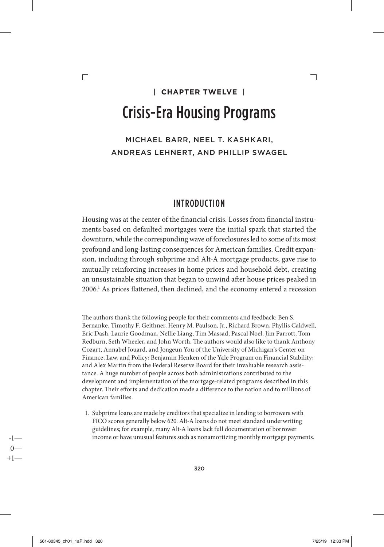# | **CHAPTER TWELVE** | Crisis-Era Housing Programs

MICHAEL BARR, NEEL T. KASHKARI, ANDREAS LEHNERT, AND PHILLIP SWAGEL

## INTRODUCTION

Housing was at the center of the financial crisis. Losses from financial instruments based on defaulted mortgages were the initial spark that started the downturn, while the corresponding wave of foreclosures led to some of its most profound and long-lasting consequences for American families. Credit expansion, including through subprime and Alt-A mortgage products, gave rise to mutually reinforcing increases in home prices and household debt, creating an unsustainable situation that began to unwind after house prices peaked in 2006.1 As prices flattened, then declined, and the economy entered a recession

The authors thank the following people for their comments and feedback: Ben S. Bernanke, Timothy F. Geithner, Henry M. Paulson, Jr., Richard Brown, Phyllis Caldwell, Eric Dash, Laurie Goodman, Nellie Liang, Tim Massad, Pascal Noel, Jim Parrott, Tom Redburn, Seth Wheeler, and John Worth. The authors would also like to thank Anthony Cozart, Annabel Jouard, and Jongeun You of the University of Michigan's Center on Finance, Law, and Policy; Benjamin Henken of the Yale Program on Financial Stability; and Alex Martin from the Federal Reserve Board for their invaluable research assistance. A huge number of people across both administrations contributed to the development and implementation of the mortgage-related programs described in this chapter. Their efforts and dedication made a difference to the nation and to millions of American families.

1. Subprime loans are made by creditors that specialize in lending to borrowers with FICO scores generally below 620. Alt-A loans do not meet standard underwriting guidelines; for example, many Alt-A loans lack full documentation of borrower income or have unusual features such as nonamortizing monthly mortgage payments.

 $\Box$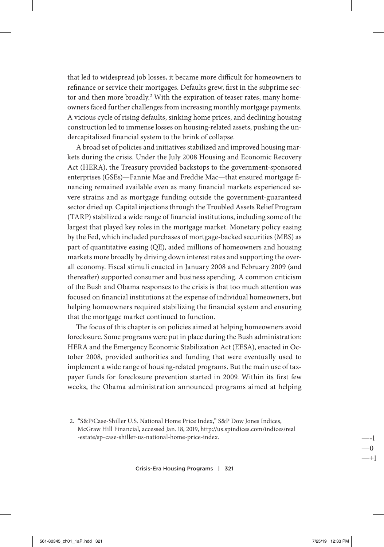that led to widespread job losses, it became more difficult for homeowners to refinance or service their mortgages. Defaults grew, first in the subprime sector and then more broadly.<sup>2</sup> With the expiration of teaser rates, many homeowners faced further challenges from increasing monthly mortgage payments. A vicious cycle of rising defaults, sinking home prices, and declining housing construction led to immense losses on housing-related assets, pushing the undercapitalized financial system to the brink of collapse.

A broad set of policies and initiatives stabilized and improved housing markets during the crisis. Under the July 2008 Housing and Economic Recovery Act (HERA), the Treasury provided backstops to the government-sponsored enterprises (GSEs)—Fannie Mae and Freddie Mac—that ensured mortgage financing remained available even as many financial markets experienced severe strains and as mortgage funding outside the government-guaranteed sector dried up. Capital injections through the Troubled Assets Relief Program (TARP) stabilized a wide range of financial institutions, including some of the largest that played key roles in the mortgage market. Monetary policy easing by the Fed, which included purchases of mortgage-backed securities (MBS) as part of quantitative easing (QE), aided millions of homeowners and housing markets more broadly by driving down interest rates and supporting the overall economy. Fiscal stimuli enacted in January 2008 and February 2009 (and thereafter) supported consumer and business spending. A common criticism of the Bush and Obama responses to the crisis is that too much attention was focused on financial institutions at the expense of individual homeowners, but helping homeowners required stabilizing the financial system and ensuring that the mortgage market continued to function.

The focus of this chapter is on policies aimed at helping homeowners avoid foreclosure. Some programs were put in place during the Bush administration: HERA and the Emergency Economic Stabilization Act (EESA), enacted in October 2008, provided authorities and funding that were eventually used to implement a wide range of housing-related programs. But the main use of taxpayer funds for foreclosure prevention started in 2009. Within its first few weeks, the Obama administration announced programs aimed at helping

Crisis-Era Housing Programs | 321

<sup>2. &</sup>quot;S&P/Case-Shiller U.S. National Home Price Index," S&P Dow Jones Indices, McGraw Hill Financial, accessed Jan. 18, 2019, http://us.spindices.com/indices/real -estate/sp-case-shiller-us-national-home-price-index.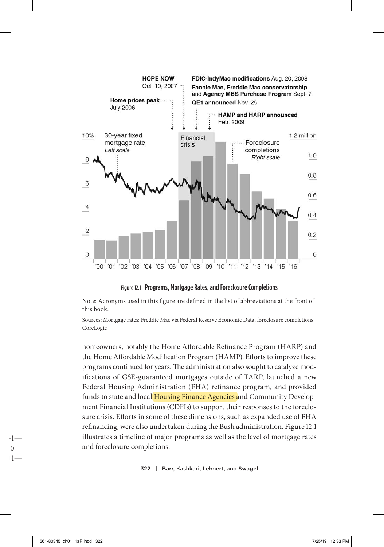

Figure 12.1 Programs, Mortgage Rates, and Foreclosure Completions

Note: Acronyms used in this figure are defined in the list of abbreviations at the front of this book.

Sources: Mortgage rates: Freddie Mac via Federal Reserve Economic Data; foreclosure completions: CoreLogic

homeowners, notably the Home Affordable Refinance Program (HARP) and the Home Affordable Modification Program (HAMP). Efforts to improve these programs continued for years. The administration also sought to catalyze modifications of GSE-guaranteed mortgages outside of TARP, launched a new Federal Housing Administration (FHA) refinance program, and provided funds to state and local Housing Finance Agencies and Community Development Financial Institutions (CDFIs) to support their responses to the foreclosure crisis. Efforts in some of these dimensions, such as expanded use of FHA refinancing, were also undertaken during the Bush administration. Figure 12.1 illustrates a timeline of major programs as well as the level of mortgage rates and foreclosure completions.

322 | Barr, Kashkari, Lehnert, and Swagel

-1—  $0$ —  $+1-$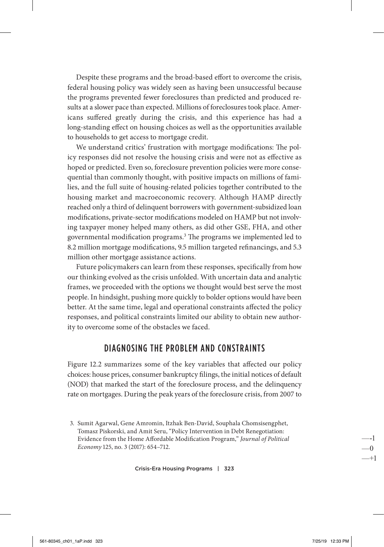Despite these programs and the broad-based effort to overcome the crisis, federal housing policy was widely seen as having been unsuccessful because the programs prevented fewer foreclosures than predicted and produced results at a slower pace than expected. Millions of foreclosures took place. Americans suffered greatly during the crisis, and this experience has had a long-standing effect on housing choices as well as the opportunities available to households to get access to mortgage credit.

We understand critics' frustration with mortgage modifications: The policy responses did not resolve the housing crisis and were not as effective as hoped or predicted. Even so, foreclosure prevention policies were more consequential than commonly thought, with positive impacts on millions of families, and the full suite of housing-related policies together contributed to the housing market and macroeconomic recovery. Although HAMP directly reached only a third of delinquent borrowers with government-subsidized loan modifications, private-sector modifications modeled on HAMP but not involving taxpayer money helped many others, as did other GSE, FHA, and other governmental modification programs.3 The programs we implemented led to 8.2 million mortgage modifications, 9.5 million targeted refinancings, and 5.3 million other mortgage assistance actions.

Future policymakers can learn from these responses, specifically from how our thinking evolved as the crisis unfolded. With uncertain data and analytic frames, we proceeded with the options we thought would best serve the most people. In hindsight, pushing more quickly to bolder options would have been better. At the same time, legal and operational constraints affected the policy responses, and political constraints limited our ability to obtain new authority to overcome some of the obstacles we faced.

### DIAGNOSING THE PROBLEM AND CONSTRAINTS

Figure 12.2 summarizes some of the key variables that affected our policy choices: house prices, consumer bankruptcy filings, the initial notices of default (NOD) that marked the start of the foreclosure process, and the delinquency rate on mortgages. During the peak years of the foreclosure crisis, from 2007 to

Crisis-Era Housing Programs | 323

<sup>3.</sup> Sumit Agarwal, Gene Amromin, Itzhak Ben-David, Souphala Chomsisengphet, Tomasz Piskorski, and Amit Seru, "Policy Intervention in Debt Renegotiation: Evidence from the Home Affordable Modification Program," *Journal of Political Economy* 125, no. 3 (2017): 654–712.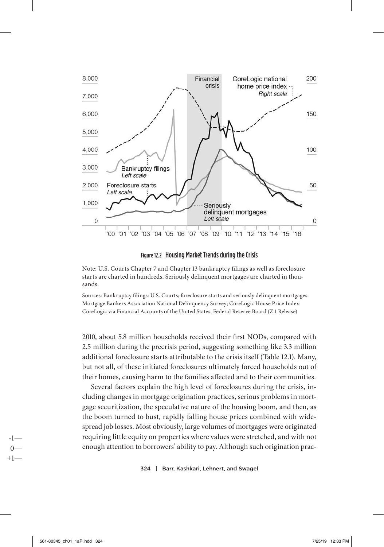



Note: U.S. Courts Chapter 7 and Chapter 13 bankruptcy filings as well as foreclosure starts are charted in hundreds. Seriously delinquent mortgages are charted in thousands.

Sources: Bankruptcy filings: U.S. Courts; foreclosure starts and seriously delinquent mortgages: Mortgage Bankers Association National Delinquency Survey; CoreLogic House Price Index: CoreLogic via Financial Accounts of the United States, Federal Reserve Board (Z.1 Release)

2010, about 5.8 million households received their first NODs, compared with 2.5 million during the precrisis period, suggesting something like 3.3 million additional foreclosure starts attributable to the crisis itself (Table 12.1). Many, but not all, of these initiated foreclosures ultimately forced households out of their homes, causing harm to the families affected and to their communities.

Several factors explain the high level of foreclosures during the crisis, including changes in mortgage origination practices, serious problems in mortgage securitization, the speculative nature of the housing boom, and then, as the boom turned to bust, rapidly falling house prices combined with widespread job losses. Most obviously, large volumes of mortgages were originated requiring little equity on properties where values were stretched, and with not enough attention to borrowers' ability to pay. Although such origination prac-

324 | Barr, Kashkari, Lehnert, and Swagel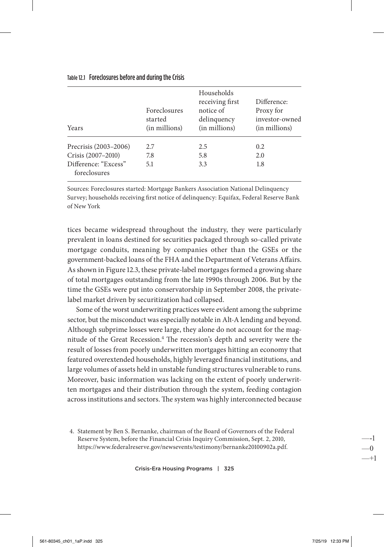| Years                                | Foreclosures<br>started<br>(in millions) | Households<br>receiving first<br>notice of<br>delinquency<br>(in millions) | Difference:<br>Proxy for<br>investor-owned<br>(in millions) |
|--------------------------------------|------------------------------------------|----------------------------------------------------------------------------|-------------------------------------------------------------|
| Precrisis (2003-2006)                | 2.7                                      | 2.5                                                                        | 0.2                                                         |
| Crisis (2007-2010)                   | 7.8                                      | 5.8                                                                        | 2.0                                                         |
| Difference: "Excess"<br>foreclosures | 5.1                                      | 3.3                                                                        | 1.8                                                         |

Sources: Foreclosures started: Mortgage Bankers Association National Delinquency Survey; households receiving first notice of delinquency: Equifax, Federal Reserve Bank of New York

tices became widespread throughout the industry, they were particularly prevalent in loans destined for securities packaged through so-called private mortgage conduits, meaning by companies other than the GSEs or the government-backed loans of the FHA and the Department of Veterans Affairs. As shown in Figure 12.3, these private-label mortgages formed a growing share of total mortgages outstanding from the late 1990s through 2006. But by the time the GSEs were put into conservatorship in September 2008, the private-label market driven by securitization had collapsed.

Some of the worst underwriting practices were evident among the subprime sector, but the misconduct was especially notable in Alt-A lending and beyond. Although subprime losses were large, they alone do not account for the magnitude of the Great Recession.<sup>4</sup> The recession's depth and severity were the result of losses from poorly underwritten mortgages hitting an economy that featured overextended households, highly leveraged financial institutions, and large volumes of assets held in unstable funding structures vulnerable to runs. Moreover, basic information was lacking on the extent of poorly underwritten mortgages and their distribution through the system, feeding contagion across institutions and sectors. The system was highly interconnected because

Crisis-Era Housing Programs | 325

<sup>4.</sup> Statement by Ben S. Bernanke, chairman of the Board of Governors of the Federal Reserve System, before the Financial Crisis Inquiry Commission, Sept. 2, 2010, https://www.federalreserve.gov/newsevents/testimony/bernanke20100902a.pdf.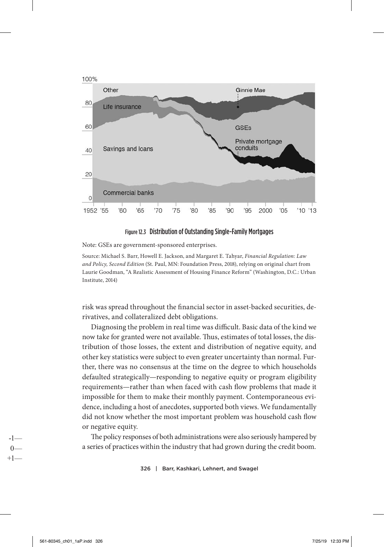

#### Figure 12.3 Distribution of Outstanding Single-Family Mortgages

Note: GSEs are government-sponsored enterprises.

Source: Michael S. Barr, Howell E. Jackson, and Margaret E. Tahyar, *Financial Regulation: Law and Policy, Second Edition* (St. Paul, MN: Foundation Press, 2018), relying on original chart from Laurie Goodman, "A Realistic Assessment of Housing Finance Reform" (Washington, D.C.: Urban Institute, 2014)

risk was spread throughout the financial sector in asset-backed securities, derivatives, and collateralized debt obligations.

Diagnosing the problem in real time was difficult. Basic data of the kind we now take for granted were not available. Thus, estimates of total losses, the distribution of those losses, the extent and distribution of negative equity, and other key statistics were subject to even greater uncertainty than normal. Further, there was no consensus at the time on the degree to which households defaulted strategically—responding to negative equity or program eligibility requirements—rather than when faced with cash flow problems that made it impossible for them to make their monthly payment. Contemporaneous evidence, including a host of anecdotes, supported both views. We fundamentally did not know whether the most important problem was household cash flow or negative equity.

The policy responses of both administrations were also seriously hampered by a series of practices within the industry that had grown during the credit boom.

326 | Barr, Kashkari, Lehnert, and Swagel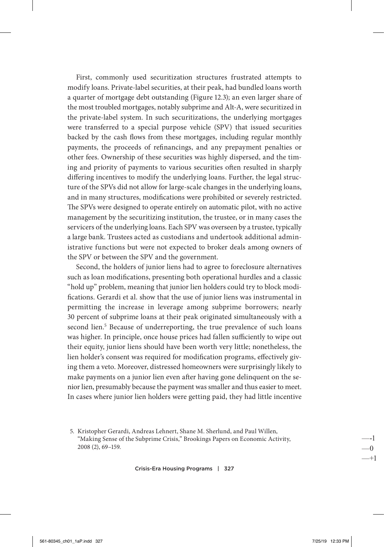First, commonly used securitization structures frustrated attempts to modify loans. Private-label securities, at their peak, had bundled loans worth a quarter of mortgage debt outstanding (Figure 12.3); an even larger share of the most troubled mortgages, notably subprime and Alt-A, were securitized in the private-label system. In such securitizations, the underlying mortgages were transferred to a special purpose vehicle (SPV) that issued securities backed by the cash flows from these mortgages, including regular monthly payments, the proceeds of refinancings, and any prepayment penalties or other fees. Ownership of these securities was highly dispersed, and the timing and priority of payments to various securities often resulted in sharply differing incentives to modify the underlying loans. Further, the legal structure of the SPVs did not allow for large-scale changes in the underlying loans, and in many structures, modifications were prohibited or severely restricted. The SPVs were designed to operate entirely on automatic pilot, with no active management by the securitizing institution, the trustee, or in many cases the servicers of the underlying loans. Each SPV was overseen by a trustee, typically a large bank. Trustees acted as custodians and undertook additional administrative functions but were not expected to broker deals among owners of the SPV or between the SPV and the government.

Second, the holders of junior liens had to agree to foreclosure alternatives such as loan modifications, presenting both operational hurdles and a classic "hold up" problem, meaning that junior lien holders could try to block modifications. Gerardi et al. show that the use of junior liens was instrumental in permitting the increase in leverage among subprime borrowers; nearly 30 percent of subprime loans at their peak originated simultaneously with a second lien.<sup>5</sup> Because of underreporting, the true prevalence of such loans was higher. In principle, once house prices had fallen sufficiently to wipe out their equity, junior liens should have been worth very little; nonetheless, the lien holder's consent was required for modification programs, effectively giving them a veto. Moreover, distressed homeowners were surprisingly likely to make payments on a junior lien even after having gone delinquent on the senior lien, presumably because the payment was smaller and thus easier to meet. In cases where junior lien holders were getting paid, they had little incentive

Crisis-Era Housing Programs | 327

<sup>5.</sup> Kristopher Gerardi, Andreas Lehnert, Shane M. Sherlund, and Paul Willen, "Making Sense of the Subprime Crisis," Brookings Papers on Economic Activity, 2008 (2), 69–159.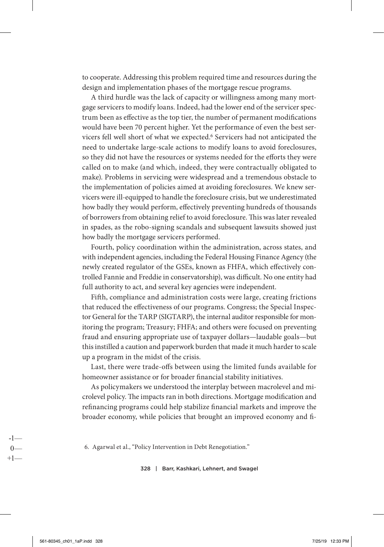to cooperate. Addressing this problem required time and resources during the design and implementation phases of the mortgage rescue programs.

A third hurdle was the lack of capacity or willingness among many mortgage servicers to modify loans. Indeed, had the lower end of the servicer spectrum been as effective as the top tier, the number of permanent modifications would have been 70 percent higher. Yet the performance of even the best servicers fell well short of what we expected.<sup>6</sup> Servicers had not anticipated the need to undertake large-scale actions to modify loans to avoid foreclosures, so they did not have the resources or systems needed for the efforts they were called on to make (and which, indeed, they were contractually obligated to make). Problems in servicing were widespread and a tremendous obstacle to the implementation of policies aimed at avoiding foreclosures. We knew servicers were ill-equipped to handle the foreclosure crisis, but we underestimated how badly they would perform, effectively preventing hundreds of thousands of borrowers from obtaining relief to avoid foreclosure. This was later revealed in spades, as the robo-signing scandals and subsequent lawsuits showed just how badly the mortgage servicers performed.

Fourth, policy coordination within the administration, across states, and with independent agencies, including the Federal Housing Finance Agency (the newly created regulator of the GSEs, known as FHFA, which effectively controlled Fannie and Freddie in conservatorship), was difficult. No one entity had full authority to act, and several key agencies were independent.

Fifth, compliance and administration costs were large, creating frictions that reduced the effectiveness of our programs. Congress; the Special Inspector General for the TARP (SIGTARP), the internal auditor responsible for monitoring the program; Treasury; FHFA; and others were focused on preventing fraud and ensuring appropriate use of taxpayer dollars—laudable goals—but this instilled a caution and paperwork burden that made it much harder to scale up a program in the midst of the crisis.

Last, there were trade-offs between using the limited funds available for homeowner assistance or for broader financial stability initiatives.

As policymakers we understood the interplay between macrolevel and microlevel policy. The impacts ran in both directions. Mortgage modification and refinancing programs could help stabilize financial markets and improve the broader economy, while policies that brought an improved economy and fi-

6. Agarwal et al., "Policy Intervention in Debt Renegotiation."

328 | Barr, Kashkari, Lehnert, and Swagel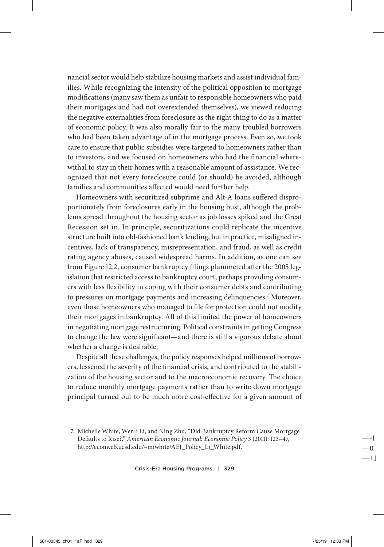nancial sector would help stabilize housing markets and assist individual families. While recognizing the intensity of the political opposition to mortgage modifications (many saw them as unfair to responsible homeowners who paid their mortgages and had not overextended themselves), we viewed reducing the negative externalities from foreclosure as the right thing to do as a matter of economic policy. It was also morally fair to the many troubled borrowers who had been taken advantage of in the mortgage process. Even so, we took care to ensure that public subsidies were targeted to homeowners rather than to investors, and we focused on homeowners who had the financial wherewithal to stay in their homes with a reasonable amount of assistance. We recognized that not every foreclosure could (or should) be avoided, although families and communities affected would need further help.

Homeowners with securitized subprime and Alt-A loans suffered disproportionately from foreclosures early in the housing bust, although the problems spread throughout the housing sector as job losses spiked and the Great Recession set in. In principle, securitizations could replicate the incentive structure built into old-fashioned bank lending, but in practice, misaligned incentives, lack of transparency, misrepresentation, and fraud, as well as credit rating agency abuses, caused widespread harms. In addition, as one can see from Figure 12.2, consumer bankruptcy filings plummeted after the 2005 legislation that restricted access to bankruptcy court, perhaps providing consumers with less flexibility in coping with their consumer debts and contributing to pressures on mortgage payments and increasing delinquencies.<sup>7</sup> Moreover, even those homeowners who managed to file for protection could not modify their mortgages in bankruptcy. All of this limited the power of homeowners in negotiating mortgage restructuring. Political constraints in getting Congress to change the law were significant—and there is still a vigorous debate about whether a change is desirable.

Despite all these challenges, the policy responses helped millions of borrowers, lessened the severity of the financial crisis, and contributed to the stabilization of the housing sector and to the macroeconomic recovery. The choice to reduce monthly mortgage payments rather than to write down mortgage principal turned out to be much more cost-effective for a given amount of

Crisis-Era Housing Programs | 329

<sup>7.</sup> Michelle White, Wenli Li, and Ning Zhu, "Did Bankruptcy Reform Cause Mortgage Defaults to Rise?," *American Economic Journal: Economic Policy* 3 (2011): 123–47, http://econweb.ucsd.edu/~miwhite/AEJ\_Policy\_Li\_White.pdf.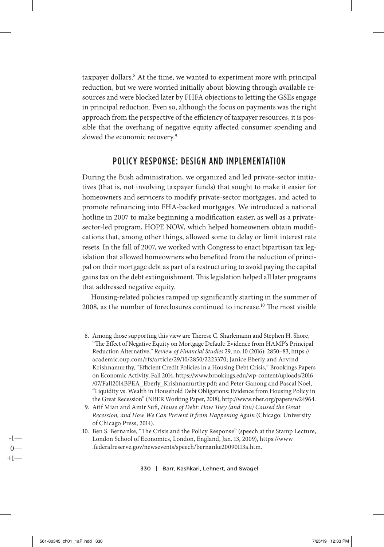taxpayer dollars.<sup>8</sup> At the time, we wanted to experiment more with principal reduction, but we were worried initially about blowing through available resources and were blocked later by FHFA objections to letting the GSEs engage in principal reduction. Even so, although the focus on payments was the right approach from the perspective of the efficiency of taxpayer resources, it is possible that the overhang of negative equity affected consumer spending and slowed the economic recovery.<sup>9</sup>

### POLICY RESPONSE: DESIGN AND IMPLEMENTATION

During the Bush administration, we organized and led private-sector initiatives (that is, not involving taxpayer funds) that sought to make it easier for homeowners and servicers to modify private-sector mortgages, and acted to promote refinancing into FHA-backed mortgages. We introduced a national hotline in 2007 to make beginning a modification easier, as well as a privatesector-led program, HOPE NOW, which helped homeowners obtain modifications that, among other things, allowed some to delay or limit interest rate resets. In the fall of 2007, we worked with Congress to enact bipartisan tax legislation that allowed homeowners who benefited from the reduction of principal on their mortgage debt as part of a restructuring to avoid paying the capital gains tax on the debt extinguishment. This legislation helped all later programs that addressed negative equity.

Housing-related policies ramped up significantly starting in the summer of 2008, as the number of foreclosures continued to increase.10 The most visible

- 8. Among those supporting this view are Therese C. Sharlemann and Stephen H. Shore, "The Effect of Negative Equity on Mortgage Default: Evidence from HAMP's Principal Reduction Alternative," *Review of Financial Studies* 29, no. 10 (2016): 2850–83, https:// academic.oup.com/rfs/article/29/10/2850/2223370; Janice Eberly and Arvind Krishnamurthy, "Efficient Credit Policies in a Housing Debt Crisis," Brookings Papers on Economic Activity, Fall 2014, https://www.brookings.edu/wp-content/uploads/2016 /07/Fall2014BPEA\_Eberly\_Krishnamurthy.pdf; and Peter Ganong and Pascal Noel, "Liquidity vs. Wealth in Household Debt Obligations: Evidence from Housing Policy in the Great Recession" (NBER Working Paper, 2018), http://www.nber.org/papers/w24964.
- 9. Atif Mian and Amir Sufi, *House of Debt: How They (and You) Caused the Great Recession, and How We Can Prevent It from Happening Again* (Chicago: University of Chicago Press, 2014).
- 10. Ben S. Bernanke, "The Crisis and the Policy Response" (speech at the Stamp Lecture, London School of Economics, London, England, Jan. 13, 2009), https://www .federalreserve.gov/newsevents/speech/bernanke20090113a.htm.

330 | Barr, Kashkari, Lehnert, and Swagel

-1—  $0$ —  $+1-$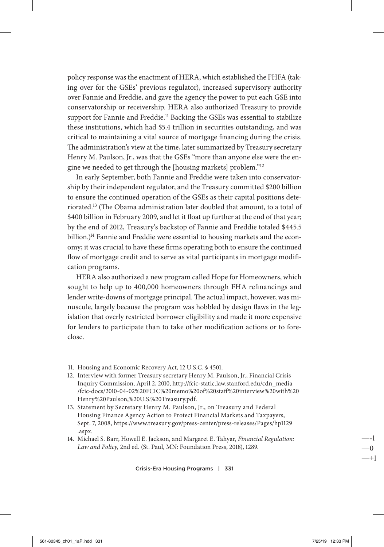policy response was the enactment of HERA, which established the FHFA (taking over for the GSEs' previous regulator), increased supervisory authority over Fannie and Freddie, and gave the agency the power to put each GSE into conservatorship or receivership. HERA also authorized Treasury to provide support for Fannie and Freddie.<sup>11</sup> Backing the GSEs was essential to stabilize these institutions, which had \$5.4 trillion in securities outstanding, and was critical to maintaining a vital source of mortgage financing during the crisis. The administration's view at the time, later summarized by Treasury secretary Henry M. Paulson, Jr., was that the GSEs "more than anyone else were the engine we needed to get through the [housing markets] problem."12

In early September, both Fannie and Freddie were taken into conservatorship by their independent regulator, and the Treasury committed \$200 billion to ensure the continued operation of the GSEs as their capital positions deteriorated.13 (The Obama administration later doubled that amount, to a total of \$400 billion in February 2009, and let it float up further at the end of that year; by the end of 2012, Treasury's backstop of Fannie and Freddie totaled \$445.5 billion.)<sup>14</sup> Fannie and Freddie were essential to housing markets and the economy; it was crucial to have these firms operating both to ensure the continued flow of mortgage credit and to serve as vital participants in mortgage modification programs.

HERA also authorized a new program called Hope for Homeowners, which sought to help up to 400,000 homeowners through FHA refinancings and lender write-downs of mortgage principal. The actual impact, however, was minuscule, largely because the program was hobbled by design flaws in the legislation that overly restricted borrower eligibility and made it more expensive for lenders to participate than to take other modification actions or to foreclose.

- 11. Housing and Economic Recovery Act, 12 U.S.C. § 4501.
- 12. Interview with former Treasury secretary Henry M. Paulson, Jr., Financial Crisis Inquiry Commission, April 2, 2010, http://fcic-static.law.stanford.edu/cdn\_media /fcic-docs/2010-04-02%20FCIC%20memo%20of%20staff%20interview%20with%20 Henry%20Paulson,%20U.S.%20Treasury.pdf.
- 13. Statement by Secretary Henry M. Paulson, Jr., on Treasury and Federal Housing Finance Agency Action to Protect Financial Markets and Taxpayers, Sept. 7, 2008, https://www.treasury.gov/press-center/press-releases/Pages/hp1129 .aspx.
- 14. Michael S. Barr, Howell E. Jackson, and Margaret E. Tahyar, *Financial Regulation: Law and Policy,* 2nd ed. (St. Paul, MN: Foundation Press, 2018), 1289.

Crisis-Era Housing Programs | 331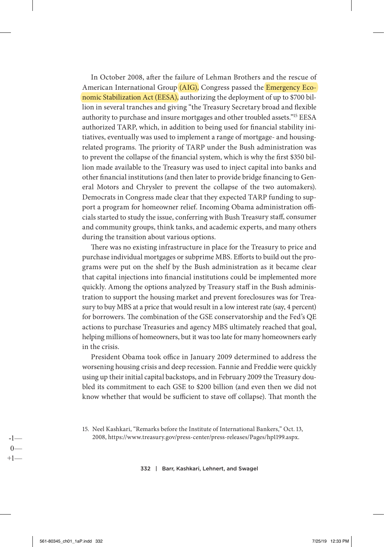In October 2008, after the failure of Lehman Brothers and the rescue of American International Group (AIG), Congress passed the Emergency Economic Stabilization Act (EESA), authorizing the deployment of up to \$700 billion in several tranches and giving "the Treasury Secretary broad and flexible authority to purchase and insure mortgages and other troubled assets."15 EESA authorized TARP, which, in addition to being used for financial stability initiatives, eventually was used to implement a range of mortgage- and housing-related programs. The priority of TARP under the Bush administration was to prevent the collapse of the financial system, which is why the first \$350 billion made available to the Treasury was used to inject capital into banks and other financial institutions (and then later to provide bridge financing to General Motors and Chrysler to prevent the collapse of the two automakers). Democrats in Congress made clear that they expected TARP funding to support a program for homeowner relief. Incoming Obama administration officials started to study the issue, conferring with Bush Treasury staff, consumer and community groups, think tanks, and academic experts, and many others during the transition about various options.

There was no existing infrastructure in place for the Treasury to price and purchase individual mortgages or subprime MBS. Efforts to build out the programs were put on the shelf by the Bush administration as it became clear that capital injections into financial institutions could be implemented more quickly. Among the options analyzed by Treasury staff in the Bush administration to support the housing market and prevent foreclosures was for Treasury to buy MBS at a price that would result in a low interest rate (say, 4 percent) for borrowers. The combination of the GSE conservatorship and the Fed's QE actions to purchase Treasuries and agency MBS ultimately reached that goal, helping millions of homeowners, but it was too late for many homeowners early in the crisis.

President Obama took office in January 2009 determined to address the worsening housing crisis and deep recession. Fannie and Freddie were quickly using up their initial capital backstops, and in February 2009 the Treasury doubled its commitment to each GSE to \$200 billion (and even then we did not know whether that would be sufficient to stave off collapse). That month the

15. Neel Kashkari, "Remarks before the Institute of International Bankers," Oct. 13, 2008, https://www.treasury.gov/press-center/press-releases/Pages/hp1199.aspx.

332 | Barr, Kashkari, Lehnert, and Swagel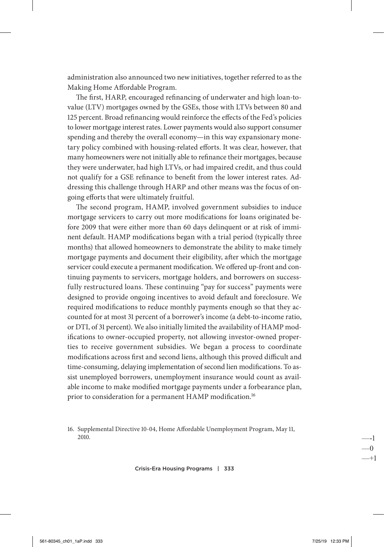administration also announced two new initiatives, together referred to as the Making Home Affordable Program.

The first, HARP, encouraged refinancing of underwater and high loan-to-value (LTV) mortgages owned by the GSEs, those with LTVs between 80 and 125 percent. Broad refinancing would reinforce the effects of the Fed's policies to lower mortgage interest rates. Lower payments would also support consumer spending and thereby the overall economy—in this way expansionary monetary policy combined with housing-related efforts. It was clear, however, that many homeowners were not initially able to refinance their mortgages, because they were underwater, had high LTVs, or had impaired credit, and thus could not qualify for a GSE refinance to benefit from the lower interest rates. Addressing this challenge through HARP and other means was the focus of ongoing efforts that were ultimately fruitful.

The second program, HAMP, involved government subsidies to induce mortgage servicers to carry out more modifications for loans originated before 2009 that were either more than 60 days delinquent or at risk of imminent default. HAMP modifications began with a trial period (typically three months) that allowed homeowners to demonstrate the ability to make timely mortgage payments and document their eligibility, after which the mortgage servicer could execute a permanent modification. We offered up-front and continuing payments to servicers, mortgage holders, and borrowers on successfully restructured loans. These continuing "pay for success" payments were designed to provide ongoing incentives to avoid default and foreclosure. We required modifications to reduce monthly payments enough so that they accounted for at most 31 percent of a borrower's income (a debt-to-income ratio, or DTI, of 31 percent). We also initially limited the availability of HAMP modifications to owner-occupied property, not allowing investor-owned properties to receive government subsidies. We began a process to coordinate modifications across first and second liens, although this proved difficult and time-consuming, delaying implementation of second lien modifications. To assist unemployed borrowers, unemployment insurance would count as available income to make modified mortgage payments under a forbearance plan, prior to consideration for a permanent HAMP modification.<sup>16</sup>

Crisis-Era Housing Programs | 333

<sup>16.</sup> Supplemental Directive 10-04, Home Affordable Unemployment Program, May 11, 2010.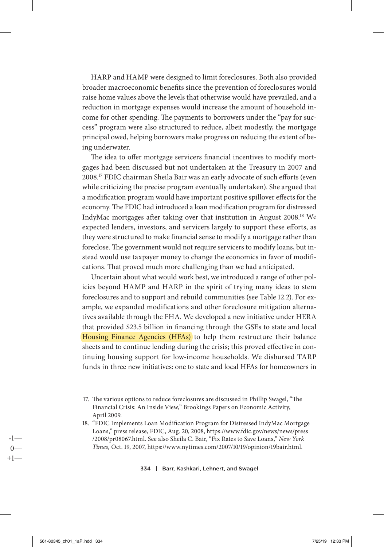HARP and HAMP were designed to limit foreclosures. Both also provided broader macroeconomic benefits since the prevention of foreclosures would raise home values above the levels that otherwise would have prevailed, and a reduction in mortgage expenses would increase the amount of household income for other spending. The payments to borrowers under the "pay for success" program were also structured to reduce, albeit modestly, the mortgage principal owed, helping borrowers make progress on reducing the extent of being underwater.

The idea to offer mortgage servicers financial incentives to modify mortgages had been discussed but not undertaken at the Treasury in 2007 and 2008.17 FDIC chairman Sheila Bair was an early advocate of such efforts (even while criticizing the precise program eventually undertaken). She argued that a modification program would have important positive spillover effects for the economy. The FDIC had introduced a loan modification program for distressed IndyMac mortgages after taking over that institution in August 2008.18 We expected lenders, investors, and servicers largely to support these efforts, as they were structured to make financial sense to modify a mortgage rather than foreclose. The government would not require servicers to modify loans, but instead would use taxpayer money to change the economics in favor of modifications. That proved much more challenging than we had anticipated.

Uncertain about what would work best, we introduced a range of other policies beyond HAMP and HARP in the spirit of trying many ideas to stem foreclosures and to support and rebuild communities (see Table 12.2). For example, we expanded modifications and other foreclosure mitigation alternatives available through the FHA. We developed a new initiative under HERA that provided \$23.5 billion in financing through the GSEs to state and local Housing Finance Agencies (HFAs) to help them restructure their balance sheets and to continue lending during the crisis; this proved effective in continuing housing support for low-income households. We disbursed TARP funds in three new initiatives: one to state and local HFAs for homeowners in

- 17. The various options to reduce foreclosures are discussed in Phillip Swagel, "The Financial Crisis: An Inside View," Brookings Papers on Economic Activity, April 2009.
- 18. "FDIC Implements Loan Modification Program for Distressed IndyMac Mortgage Loans," press release, FDIC, Aug. 20, 2008, https://www.fdic.gov/news/news/press /2008/pr08067.html. See also Sheila C. Bair, "Fix Rates to Save Loans," *New York Times,* Oct. 19, 2007, https://www.nytimes.com/2007/10/19/opinion/19bair.html.

#### 334 | Barr, Kashkari, Lehnert, and Swagel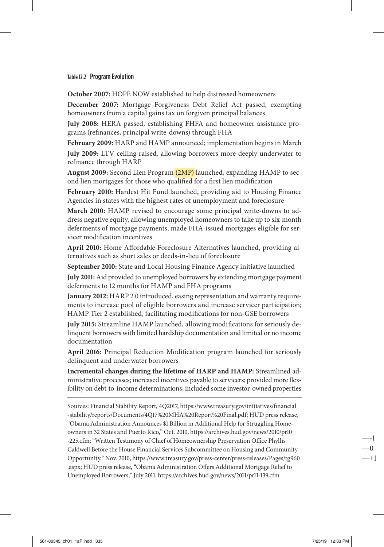#### Table 12.2 Program Evolution

**October 2007:** HOPE NOW established to help distressed homeowners

**December 2007:** Mortgage Forgiveness Debt Relief Act passed, exempting homeowners from a capital gains tax on forgiven principal balances

**July 2008:** HERA passed, establishing FHFA and homeowner assistance programs (refinances, principal write-downs) through FHA

**February 2009:** HARP and HAMP announced; implementation begins in March **July 2009:** LTV ceiling raised, allowing borrowers more deeply underwater to refinance through HARP

**August 2009:** Second Lien Program (2MP) launched, expanding HAMP to second lien mortgages for those who qualified for a first lien modification

**February 2010:** Hardest Hit Fund launched, providing aid to Housing Finance Agencies in states with the highest rates of unemployment and foreclosure

**March 2010:** HAMP revised to encourage some principal write-downs to address negative equity, allowing unemployed homeowners to take up to six-month deferments of mortgage payments; made FHA-issued mortgages eligible for servicer modification incentives

**April 2010:** Home Affordable Foreclosure Alternatives launched, providing alternatives such as short sales or deeds-in-lieu of foreclosure

**September 2010:** State and Local Housing Finance Agency initiative launched

**July 2011:** Aid provided to unemployed borrowers by extending mortgage payment deferments to 12 months for HAMP and FHA programs

**January 2012:** HARP 2.0 introduced, easing representation and warranty requirements to increase pool of eligible borrowers and increase servicer participation; HAMP Tier 2 established, facilitating modifications for non-GSE borrowers

**July 2015:** Streamline HAMP launched, allowing modifications for seriously delinquent borrowers with limited hardship documentation and limited or no income documentation

**April 2016:** Principal Reduction Modification program launched for seriously delinquent and underwater borrowers

**Incremental changes during the lifetime of HARP and HAMP:** Streamlined administrative processes; increased incentives payable to servicers; provided more flexibility on debt-to-income determinations; included some investor-owned properties

Sources: Financial Stability Report, 4Q2017, https://www.treasury.gov/initiatives/financial -stability/reports/Documents/4Q17%20MHA%20Report%20Final.pdf; HUD press release, "Obama Administration Announces \$1 Billion in Additional Help for Struggling Homeowners in 32 States and Puerto Rico," Oct. 2010, https://archives.hud.gov/news/2010/pr10 -225.cfm; "Written Testimony of Chief of Homeownership Preservation Office Phyllis Caldwell Before the House Financial Services Subcommittee on Housing and Community Opportunity," Nov. 2010, https://www.treasury.gov/press-center/press-releases/Pages/tg960 .aspx; HUD press release, "Obama Administration Offers Additional Mortgage Relief to Unemployed Borrowers," July 2011, https://archives.hud.gov/news/2011/pr11-139.cfm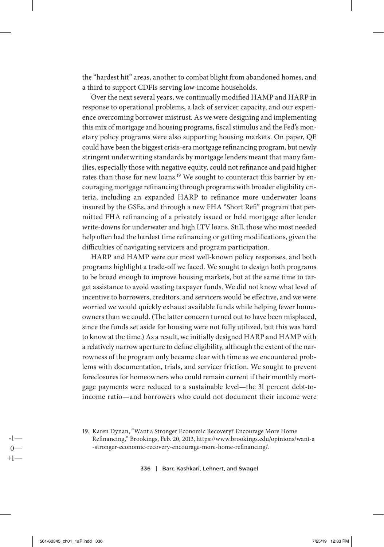the "hardest hit" areas, another to combat blight from abandoned homes, and a third to support CDFIs serving low-income households.

Over the next several years, we continually modified HAMP and HARP in response to operational problems, a lack of servicer capacity, and our experience overcoming borrower mistrust. As we were designing and implementing this mix of mortgage and housing programs, fiscal stimulus and the Fed's monetary policy programs were also supporting housing markets. On paper, QE could have been the biggest crisis-era mortgage refinancing program, but newly stringent underwriting standards by mortgage lenders meant that many families, especially those with negative equity, could not refinance and paid higher rates than those for new loans.<sup>19</sup> We sought to counteract this barrier by encouraging mortgage refinancing through programs with broader eligibility criteria, including an expanded HARP to refinance more underwater loans insured by the GSEs, and through a new FHA "Short Refi" program that permitted FHA refinancing of a privately issued or held mortgage after lender write-downs for underwater and high LTV loans. Still, those who most needed help often had the hardest time refinancing or getting modifications, given the difficulties of navigating servicers and program participation.

HARP and HAMP were our most well-known policy responses, and both programs highlight a trade-off we faced. We sought to design both programs to be broad enough to improve housing markets, but at the same time to target assistance to avoid wasting taxpayer funds. We did not know what level of incentive to borrowers, creditors, and servicers would be effective, and we were worried we would quickly exhaust available funds while helping fewer homeowners than we could. (The latter concern turned out to have been misplaced, since the funds set aside for housing were not fully utilized, but this was hard to know at the time.) As a result, we initially designed HARP and HAMP with a relatively narrow aperture to define eligibility, although the extent of the narrowness of the program only became clear with time as we encountered problems with documentation, trials, and servicer friction. We sought to prevent foreclosures for homeowners who could remain current if their monthly mortgage payments were reduced to a sustainable level—the 31 percent debt-to-income ratio—and borrowers who could not document their income were

336 | Barr, Kashkari, Lehnert, and Swagel

<sup>19.</sup> Karen Dynan, "Want a Stronger Economic Recovery? Encourage More Home Refinancing," Brookings, Feb. 20, 2013, https://www.brookings.edu/opinions/want-a -stronger-economic-recovery-encourage-more-home-refinancing/.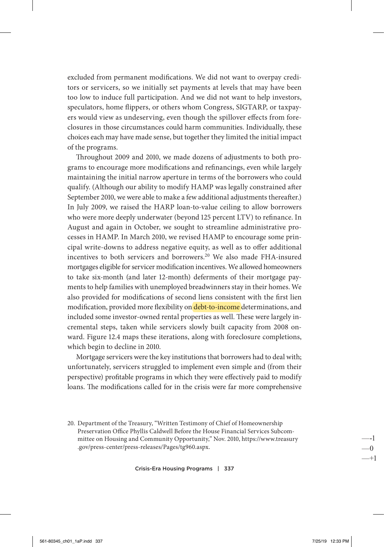excluded from permanent modifications. We did not want to overpay creditors or servicers, so we initially set payments at levels that may have been too low to induce full participation. And we did not want to help investors, speculators, home flippers, or others whom Congress, SIGTARP, or taxpayers would view as undeserving, even though the spillover effects from foreclosures in those circumstances could harm communities. Individually, these choices each may have made sense, but together they limited the initial impact of the programs.

Throughout 2009 and 2010, we made dozens of adjustments to both programs to encourage more modifications and refinancings, even while largely maintaining the initial narrow aperture in terms of the borrowers who could qualify. (Although our ability to modify HAMP was legally constrained after September 2010, we were able to make a few additional adjustments thereafter.) In July 2009, we raised the HARP loan-to-value ceiling to allow borrowers who were more deeply underwater (beyond 125 percent LTV) to refinance. In August and again in October, we sought to streamline administrative processes in HAMP. In March 2010, we revised HAMP to encourage some principal write-downs to address negative equity, as well as to offer additional incentives to both servicers and borrowers.20 We also made FHA-insured mortgages eligible for servicer modification incentives. We allowed homeowners to take six-month (and later 12-month) deferments of their mortgage payments to help families with unemployed breadwinners stay in their homes. We also provided for modifications of second liens consistent with the first lien modification, provided more flexibility on debt-to-income determinations, and included some investor-owned rental properties as well. These were largely incremental steps, taken while servicers slowly built capacity from 2008 onward. Figure 12.4 maps these iterations, along with foreclosure completions, which begin to decline in 2010.

Mortgage servicers were the key institutions that borrowers had to deal with; unfortunately, servicers struggled to implement even simple and (from their perspective) profitable programs in which they were effectively paid to modify loans. The modifications called for in the crisis were far more comprehensive

20. Department of the Treasury, "Written Testimony of Chief of Homeownership Preservation Office Phyllis Caldwell Before the House Financial Services Subcommittee on Housing and Community Opportunity," Nov. 2010, https://www.treasury .gov/press-center/press-releases/Pages/tg960.aspx.

Crisis-Era Housing Programs | 337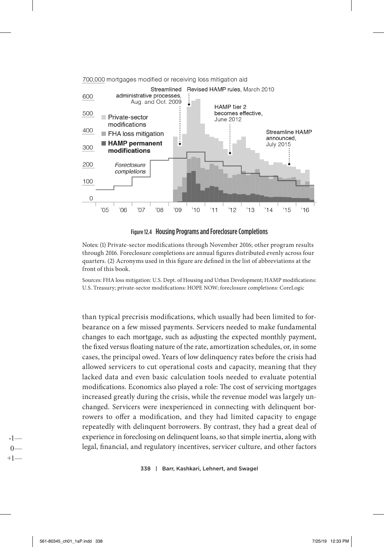

#### Figure 12.4 Housing Programs and Foreclosure Completions

Notes: (1) Private-sector modifications through November 2016; other program results through 2016. Foreclosure completions are annual figures distributed evenly across four quarters. (2) Acronyms used in this figure are defined in the list of abbreviations at the front of this book.

Sources: FHA loss mitigation: U.S. Dept. of Housing and Urban Development; HAMP modifications: U.S. Treasury; private-sector modifications: HOPE NOW; foreclosure completions: CoreLogic

than typical precrisis modifications, which usually had been limited to forbearance on a few missed payments. Servicers needed to make fundamental changes to each mortgage, such as adjusting the expected monthly payment, the fixed versus floating nature of the rate, amortization schedules, or, in some cases, the principal owed. Years of low delinquency rates before the crisis had allowed servicers to cut operational costs and capacity, meaning that they lacked data and even basic calculation tools needed to evaluate potential modifications. Economics also played a role: The cost of servicing mortgages increased greatly during the crisis, while the revenue model was largely unchanged. Servicers were inexperienced in connecting with delinquent borrowers to offer a modification, and they had limited capacity to engage repeatedly with delinquent borrowers. By contrast, they had a great deal of experience in foreclosing on delinquent loans, so that simple inertia, along with legal, financial, and regulatory incentives, servicer culture, and other factors

338 | Barr, Kashkari, Lehnert, and Swagel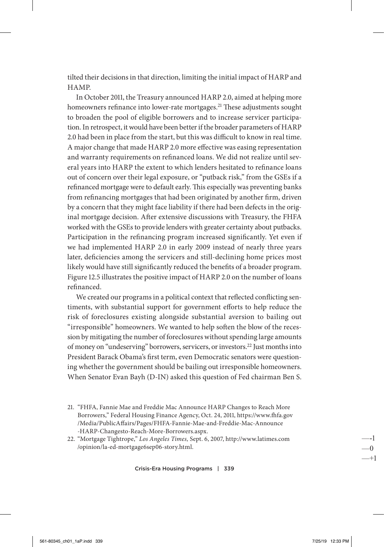tilted their decisions in that direction, limiting the initial impact of HARP and HAMP.

In October 2011, the Treasury announced HARP 2.0, aimed at helping more homeowners refinance into lower-rate mortgages.<sup>21</sup> These adjustments sought to broaden the pool of eligible borrowers and to increase servicer participation. In retrospect, it would have been better if the broader parameters of HARP 2.0 had been in place from the start, but this was difficult to know in real time. A major change that made HARP 2.0 more effective was easing representation and warranty requirements on refinanced loans. We did not realize until several years into HARP the extent to which lenders hesitated to refinance loans out of concern over their legal exposure, or "putback risk," from the GSEs if a refinanced mortgage were to default early. This especially was preventing banks from refinancing mortgages that had been originated by another firm, driven by a concern that they might face liability if there had been defects in the original mortgage decision. After extensive discussions with Treasury, the FHFA worked with the GSEs to provide lenders with greater certainty about putbacks. Participation in the refinancing program increased significantly. Yet even if we had implemented HARP 2.0 in early 2009 instead of nearly three years later, deficiencies among the servicers and still-declining home prices most likely would have still significantly reduced the benefits of a broader program. Figure 12.5 illustrates the positive impact of HARP 2.0 on the number of loans refinanced.

We created our programs in a political context that reflected conflicting sentiments, with substantial support for government efforts to help reduce the risk of foreclosures existing alongside substantial aversion to bailing out "irresponsible" homeowners. We wanted to help soften the blow of the recession by mitigating the number of foreclosures without spending large amounts of money on "undeserving" borrowers, servicers, or investors.22 Just months into President Barack Obama's first term, even Democratic senators were questioning whether the government should be bailing out irresponsible homeowners. When Senator Evan Bayh (D-IN) asked this question of Fed chairman Ben S.

- 21. "FHFA, Fannie Mae and Freddie Mac Announce HARP Changes to Reach More Borrowers," Federal Housing Finance Agency, Oct. 24, 2011, https://www.fhfa.gov /Media/PublicAffairs/Pages/FHFA-Fannie-Mae-and-Freddie-Mac-Announce -HARP-Changesto-Reach-More-Borrowers.aspx.
- 22. "Mortgage Tightrope," *Los Angeles Times,* Sept. 6, 2007, http://www.latimes.com /opinion/la-ed-mortgage6sep06-story.html.

Crisis-Era Housing Programs | 339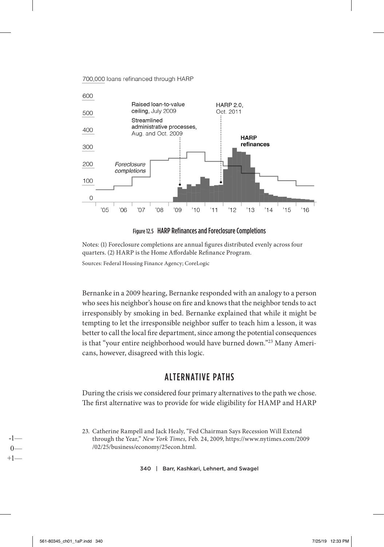



Figure 12.5 HARP Refinances and Foreclosure Completions

Notes: (1) Foreclosure completions are annual figures distributed evenly across four quarters. (2) HARP is the Home Affordable Refinance Program.

Sources: Federal Housing Finance Agency; CoreLogic

Bernanke in a 2009 hearing, Bernanke responded with an analogy to a person who sees his neighbor's house on fire and knows that the neighbor tends to act irresponsibly by smoking in bed. Bernanke explained that while it might be tempting to let the irresponsible neighbor suffer to teach him a lesson, it was better to call the local fire department, since among the potential consequences is that "your entire neighborhood would have burned down."23 Many Americans, however, disagreed with this logic.

# ALTERNATIVE PATHS

During the crisis we considered four primary alternatives to the path we chose. The first alternative was to provide for wide eligibility for HAMP and HARP

340 | Barr, Kashkari, Lehnert, and Swagel

<sup>23.</sup> Catherine Rampell and Jack Healy, "Fed Chairman Says Recession Will Extend through the Year," *New York Times,* Feb. 24, 2009, https://www.nytimes.com/2009 /02/25/business/economy/25econ.html.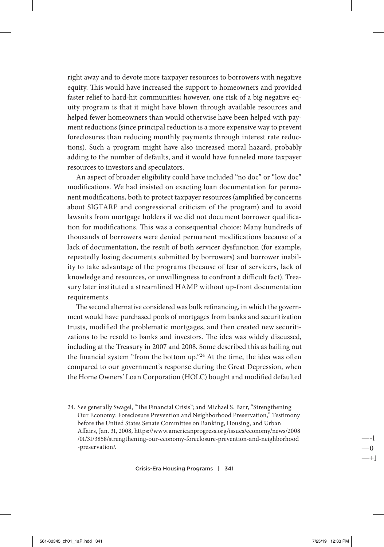right away and to devote more taxpayer resources to borrowers with negative equity. This would have increased the support to homeowners and provided faster relief to hard-hit communities; however, one risk of a big negative equity program is that it might have blown through available resources and helped fewer homeowners than would otherwise have been helped with payment reductions (since principal reduction is a more expensive way to prevent foreclosures than reducing monthly payments through interest rate reductions). Such a program might have also increased moral hazard, probably adding to the number of defaults, and it would have funneled more taxpayer resources to investors and speculators.

An aspect of broader eligibility could have included "no doc" or "low doc" modifications. We had insisted on exacting loan documentation for permanent modifications, both to protect taxpayer resources (amplified by concerns about SIGTARP and congressional criticism of the program) and to avoid lawsuits from mortgage holders if we did not document borrower qualification for modifications. This was a consequential choice: Many hundreds of thousands of borrowers were denied permanent modifications because of a lack of documentation, the result of both servicer dysfunction (for example, repeatedly losing documents submitted by borrowers) and borrower inability to take advantage of the programs (because of fear of servicers, lack of knowledge and resources, or unwillingness to confront a difficult fact). Treasury later instituted a streamlined HAMP without up-front documentation requirements.

The second alternative considered was bulk refinancing, in which the government would have purchased pools of mortgages from banks and securitization trusts, modified the problematic mortgages, and then created new securitizations to be resold to banks and investors. The idea was widely discussed, including at the Treasury in 2007 and 2008. Some described this as bailing out the financial system "from the bottom up."24 At the time, the idea was often compared to our government's response during the Great Depression, when the Home Owners' Loan Corporation (HOLC) bought and modified defaulted

24. See generally Swagel, "The Financial Crisis"; and Michael S. Barr, "Strengthening Our Economy: Foreclosure Prevention and Neighborhood Preservation," Testimony before the United States Senate Committee on Banking, Housing, and Urban Affairs, Jan. 31, 2008, https://www.americanprogress.org/issues/economy/news/2008 /01/31/3858/strengthening-our-economy-foreclosure-prevention-and-neighborhood -preservation/.

Crisis-Era Housing Programs | 341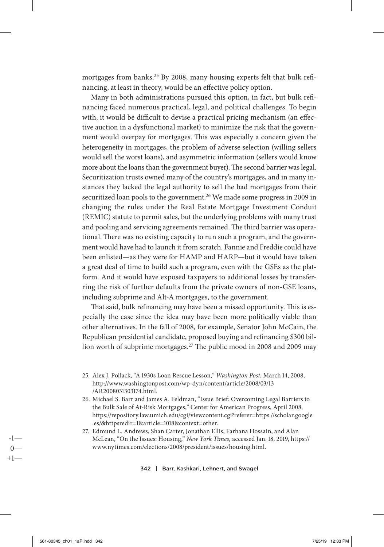mortgages from banks.<sup>25</sup> By 2008, many housing experts felt that bulk refinancing, at least in theory, would be an effective policy option.

Many in both administrations pursued this option, in fact, but bulk refinancing faced numerous practical, legal, and political challenges. To begin with, it would be difficult to devise a practical pricing mechanism (an effective auction in a dysfunctional market) to minimize the risk that the government would overpay for mortgages. This was especially a concern given the heterogeneity in mortgages, the problem of adverse selection (willing sellers would sell the worst loans), and asymmetric information (sellers would know more about the loans than the government buyer). The second barrier was legal. Securitization trusts owned many of the country's mortgages, and in many instances they lacked the legal authority to sell the bad mortgages from their securitized loan pools to the government.<sup>26</sup> We made some progress in 2009 in changing the rules under the Real Estate Mortgage Investment Conduit (REMIC) statute to permit sales, but the underlying problems with many trust and pooling and servicing agreements remained. The third barrier was operational. There was no existing capacity to run such a program, and the government would have had to launch it from scratch. Fannie and Freddie could have been enlisted—as they were for HAMP and HARP—but it would have taken a great deal of time to build such a program, even with the GSEs as the platform. And it would have exposed taxpayers to additional losses by transferring the risk of further defaults from the private owners of non-GSE loans, including subprime and Alt-A mortgages, to the government.

That said, bulk refinancing may have been a missed opportunity. This is especially the case since the idea may have been more politically viable than other alternatives. In the fall of 2008, for example, Senator John McCain, the Republican presidential candidate, proposed buying and refinancing \$300 billion worth of subprime mortgages.27 The public mood in 2008 and 2009 may

- 25. Alex J. Pollack, "A 1930s Loan Rescue Lesson," *Washington Post,* March 14, 2008, http://www.washingtonpost.com/wp-dyn/content/article/2008/03/13 /AR2008031303174.html.
- 26. Michael S. Barr and James A. Feldman, "Issue Brief: Overcoming Legal Barriers to the Bulk Sale of At-Risk Mortgages," Center for American Progress, April 2008, https://repository.law.umich.edu/cgi/viewcontent.cgi?referer=https://scholar.google .es/&httpsredir=1&article=1018&context=other.
- 27. Edmund L. Andrews, Shan Carter, Jonathan Ellis, Farhana Hossain, and Alan McLean, "On the Issues: Housing," *New York Times,* accessed Jan. 18, 2019, https:// www.nytimes.com/elections/2008/president/issues/housing.html.

#### 342 | Barr, Kashkari, Lehnert, and Swagel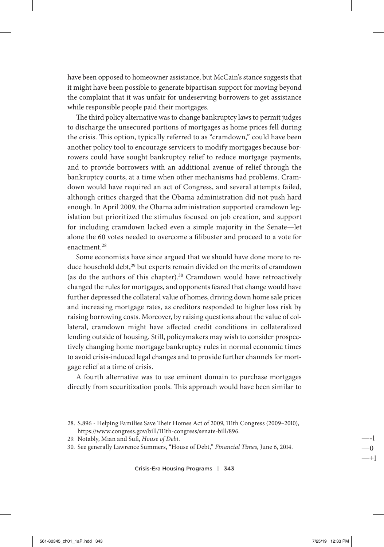have been opposed to homeowner assistance, but McCain's stance suggests that it might have been possible to generate bipartisan support for moving beyond the complaint that it was unfair for undeserving borrowers to get assistance while responsible people paid their mortgages.

The third policy alternative was to change bankruptcy laws to permit judges to discharge the unsecured portions of mortgages as home prices fell during the crisis. This option, typically referred to as "cramdown," could have been another policy tool to encourage servicers to modify mortgages because borrowers could have sought bankruptcy relief to reduce mortgage payments, and to provide borrowers with an additional avenue of relief through the bankruptcy courts, at a time when other mechanisms had problems. Cramdown would have required an act of Congress, and several attempts failed, although critics charged that the Obama administration did not push hard enough. In April 2009, the Obama administration supported cramdown legislation but prioritized the stimulus focused on job creation, and support for including cramdown lacked even a simple majority in the Senate—let alone the 60 votes needed to overcome a filibuster and proceed to a vote for enactment.28

Some economists have since argued that we should have done more to reduce household debt,<sup>29</sup> but experts remain divided on the merits of cramdown (as do the authors of this chapter).30 Cramdown would have retroactively changed the rules for mortgages, and opponents feared that change would have further depressed the collateral value of homes, driving down home sale prices and increasing mortgage rates, as creditors responded to higher loss risk by raising borrowing costs. Moreover, by raising questions about the value of collateral, cramdown might have affected credit conditions in collateralized lending outside of housing. Still, policymakers may wish to consider prospectively changing home mortgage bankruptcy rules in normal economic times to avoid crisis-induced legal changes and to provide further channels for mortgage relief at a time of crisis.

A fourth alternative was to use eminent domain to purchase mortgages directly from securitization pools. This approach would have been similar to

30. See generally Lawrence Summers, "House of Debt," *Financial Times,* June 6, 2014.

Crisis-Era Housing Programs | 343

<sup>28.</sup> S.896 - Helping Families Save Their Homes Act of 2009, 111th Congress (2009–2010), https://www.congress.gov/bill/111th-congress/senate-bill/896.

<sup>29.</sup> Notably, Mian and Sufi, *House of Debt.*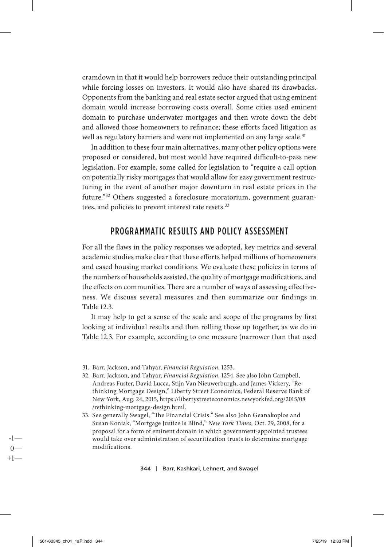cramdown in that it would help borrowers reduce their outstanding principal while forcing losses on investors. It would also have shared its drawbacks. Opponents from the banking and real estate sector argued that using eminent domain would increase borrowing costs overall. Some cities used eminent domain to purchase underwater mortgages and then wrote down the debt and allowed those homeowners to refinance; these efforts faced litigation as well as regulatory barriers and were not implemented on any large scale.<sup>31</sup>

In addition to these four main alternatives, many other policy options were proposed or considered, but most would have required difficult-to-pass new legislation. For example, some called for legislation to "require a call option on potentially risky mortgages that would allow for easy government restructuring in the event of another major downturn in real estate prices in the future."32 Others suggested a foreclosure moratorium, government guarantees, and policies to prevent interest rate resets.<sup>33</sup>

### PROGRAMMATIC RESULTS AND POLICY ASSESSMENT

For all the flaws in the policy responses we adopted, key metrics and several academic studies make clear that these efforts helped millions of homeowners and eased housing market conditions. We evaluate these policies in terms of the numbers of households assisted, the quality of mortgage modifications, and the effects on communities. There are a number of ways of assessing effectiveness. We discuss several measures and then summarize our findings in Table 12.3.

It may help to get a sense of the scale and scope of the programs by first looking at individual results and then rolling those up together, as we do in Table 12.3. For example, according to one measure (narrower than that used

- 32. Barr, Jackson, and Tahyar, *Financial Regulation,* 1254. See also John Campbell, Andreas Fuster, David Lucca, Stijn Van Nieuwerburgh, and James Vickery, "Rethinking Mortgage Design," Liberty Street Economics, Federal Reserve Bank of New York, Aug. 24, 2015, https://libertystreeteconomics.newyorkfed.org/2015/08 /rethinking-mortgage-design.html.
- 33. See generally Swagel, "The Financial Crisis." See also John Geanakoplos and Susan Koniak, "Mortgage Justice Is Blind," *New York Times,* Oct. 29, 2008, for a proposal for a form of eminent domain in which government-appointed trustees would take over administration of securitization trusts to determine mortgage modifications.

#### 344 | Barr, Kashkari, Lehnert, and Swagel

<sup>31.</sup> Barr, Jackson, and Tahyar, *Financial Regulation,* 1253.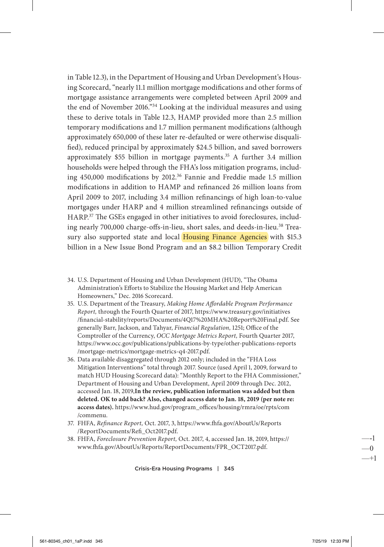in Table 12.3), in the Department of Housing and Urban Development's Housing Scorecard, "nearly 11.1 million mortgage modifications and other forms of mortgage assistance arrangements were completed between April 2009 and the end of November 2016."34 Looking at the individual measures and using these to derive totals in Table 12.3, HAMP provided more than 2.5 million temporary modifications and 1.7 million permanent modifications (although approximately 650,000 of these later re-defaulted or were otherwise disqualified), reduced principal by approximately \$24.5 billion, and saved borrowers approximately \$55 billion in mortgage payments.<sup>35</sup> A further 3.4 million households were helped through the FHA's loss mitigation programs, including 450,000 modifications by 2012.36 Fannie and Freddie made 1.5 million modifications in addition to HAMP and refinanced 26 million loans from April 2009 to 2017, including 3.4 million refinancings of high loan-to-value mortgages under HARP and 4 million streamlined refinancings outside of HARP.<sup>37</sup> The GSEs engaged in other initiatives to avoid foreclosures, including nearly 700,000 charge-offs-in-lieu, short sales, and deeds-in-lieu.<sup>38</sup> Treasury also supported state and local **Housing Finance Agencies** with \$15.3 billion in a New Issue Bond Program and an \$8.2 billion Temporary Credit

- 34. U.S. Department of Housing and Urban Development (HUD), "The Obama Administration's Efforts to Stabilize the Housing Market and Help American Homeowners," Dec. 2016 Scorecard.
- 35. U.S. Department of the Treasury, *Making Home Affordable Program Performance Report,* through the Fourth Quarter of 2017, https://www.treasury.gov/initiatives /financial-stability/reports/Documents/4Q17%20MHA%20Report%20Final.pdf. See generally Barr, Jackson, and Tahyar, *Financial Regulation,* 1251; Office of the Comptroller of the Currency, *OCC Mortgage Metrics Report,* Fourth Quarter 2017, https://www.occ.gov/publications/publications-by-type/other-publications-reports /mortgage-metrics/mortgage-metrics-q4-2017.pdf.
- 36. Data available disaggregated through 2012 only; included in the "FHA Loss Mitigation Interventions" total through 2017. Source (used April 1, 2009, forward to match HUD Housing Scorecard data): "Monthly Report to the FHA Commissioner," Department of Housing and Urban Development, April 2009 through Dec. 2012, accessed Jan. 18, 2019,**In the review, publication information was added but then deleted. OK to add back? Also, changed access date to Jan. 18, 2019 (per note re: access dates).** https://www.hud.gov/program\_offices/housing/rmra/oe/rpts/com /commenu.
- 37. FHFA, *Refinance Report,* Oct. 2017, 3, https://www.fhfa.gov/AboutUs/Reports /ReportDocuments/Refi\_Oct2017.pdf.
- 38. FHFA, *Foreclosure Prevention Report,* Oct. 2017, 4, accessed Jan. 18, 2019, https:// www.fhfa.gov/AboutUs/Reports/ReportDocuments/FPR\_OCT2017.pdf.

Crisis-Era Housing Programs | 345

—-1 —0 —+1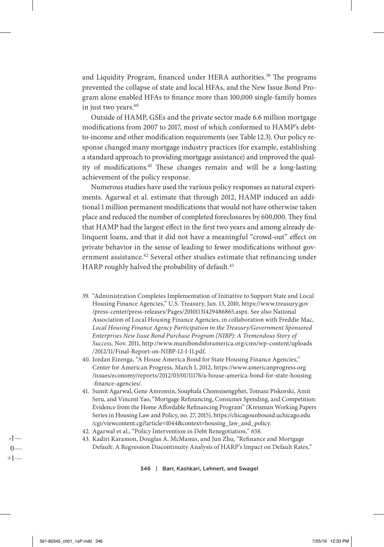and Liquidity Program, financed under HERA authorities.<sup>39</sup> The programs prevented the collapse of state and local HFAs, and the New Issue Bond Program alone enabled HFAs to finance more than 100,000 single-family homes in just two years.<sup>40</sup>

Outside of HAMP, GSEs and the private sector made 6.6 million mortgage modifications from 2007 to 2017, most of which conformed to HAMP's debt-to-income and other modification requirements (see Table 12.3). Our policy response changed many mortgage industry practices (for example, establishing a standard approach to providing mortgage assistance) and improved the quality of modifications.41 These changes remain and will be a long-lasting achievement of the policy response.

Numerous studies have used the various policy responses as natural experiments. Agarwal et al. estimate that through 2012, HAMP induced an additional 1 million permanent modifications that would not have otherwise taken place and reduced the number of completed foreclosures by 600,000. They find that HAMP had the largest effect in the first two years and among already delinquent loans, and that it did not have a meaningful "crowd-out" effect on private behavior in the sense of leading to fewer modifications without government assistance.<sup>42</sup> Several other studies estimate that refinancing under HARP roughly halved the probability of default.<sup>43</sup>

- 39. "Administration Completes Implementation of Initiative to Support State and Local Housing Finance Agencies," U.S. Treasury, Jan. 13, 2010, https://www.treasury.gov /press-center/press-releases/Pages/20101131429486865.aspx. See also National Association of Local Housing Finance Agencies, in collaboration with Freddie Mac, *Local Housing Finance Agency Participation in the Treasury/Government Sponsored Enterprises New Issue Bond Purchase Program (NIBP): A Tremendous Story of Success,* Nov. 2011, http://www.munibondsforamerica.org/cms/wp-content/uploads /2012/11/Final-Report-on-NIBP-12-1-11.pdf.
- 40. Jordan Eizenga, "A House America Bond for State Housing Finance Agencies," Center for American Progress, March 1, 2012, https://www.americanprogress.org /issues/economy/reports/2012/03/01/11176/a-house-america-bond-for-state-housing -finance-agencies/.
- 41. Sumit Agarwal, Gene Amromin, Souphala Chomsisengphet, Tomasz Piskorski, Amit Seru, and Vincent Yao, "Mortgage Refinancing, Consumer Spending, and Competition: Evidence from the Home Affordable Refinancing Program" (Kreisman Working Papers Series in Housing Law and Policy, no. 27, 2015), https://chicagounbound.uchicago.edu /cgi/viewcontent.cgi?article=1044&context=housing\_law\_and\_policy.
- 42. Agarwal et al., "Policy Intervention in Debt Renegotiation," 658.
- 43. Kadiri Karamon, Douglas A. McManus, and Jun Zhu, "Refinance and Mortgage Default: A Regression Discontinuity Analysis of HARP's Impact on Default Rates,"

346 | Barr, Kashkari, Lehnert, and Swagel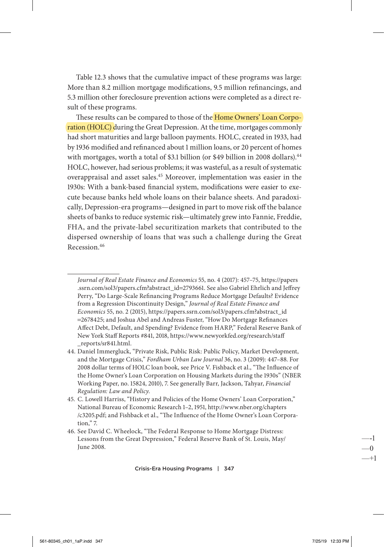Table 12.3 shows that the cumulative impact of these programs was large: More than 8.2 million mortgage modifications, 9.5 million refinancings, and 5.3 million other foreclosure prevention actions were completed as a direct result of these programs.

These results can be compared to those of the Home Owners' Loan Corporation (HOLC) during the Great Depression. At the time, mortgages commonly had short maturities and large balloon payments. HOLC, created in 1933, had by 1936 modified and refinanced about 1 million loans, or 20 percent of homes with mortgages, worth a total of \$3.1 billion (or \$49 billion in 2008 dollars).<sup>44</sup> HOLC, however, had serious problems; it was wasteful, as a result of systematic overappraisal and asset sales.45 Moreover, implementation was easier in the 1930s: With a bank-based financial system, modifications were easier to execute because banks held whole loans on their balance sheets. And paradoxically, Depression-era programs—designed in part to move risk off the balance sheets of banks to reduce systemic risk—ultimately grew into Fannie, Freddie, FHA, and the private-label securitization markets that contributed to the dispersed ownership of loans that was such a challenge during the Great Recession.46

Crisis-Era Housing Programs | 347

—-1  $\overline{\mathbf{u}}$  $-+1$ 

*Journal of Real Estate Finance and Economics* 55, no. 4 (2017): 457–75, https://papers .ssrn.com/sol3/papers.cfm?abstract\_id=2793661. See also Gabriel Ehrlich and Jeffrey Perry, "Do Large-Scale Refinancing Programs Reduce Mortgage Defaults? Evidence from a Regression Discontinuity Design," *Journal of Real Estate Finance and Economics* 55, no. 2 (2015), https://papers.ssrn.com/sol3/papers.cfm?abstract\_id =2678425; and Joshua Abel and Andreas Fuster, "How Do Mortgage Refinances Affect Debt, Default, and Spending? Evidence from HARP," Federal Reserve Bank of New York Staff Reports #841, 2018, https://www.newyorkfed.org/research/staff \_reports/sr841.html.

<sup>44.</sup> Daniel Immergluck, "Private Risk, Public Risk: Public Policy, Market Development, and the Mortgage Crisis," *Fordham Urban Law Journal* 36, no. 3 (2009): 447–88. For 2008 dollar terms of HOLC loan book, see Price V. Fishback et al., "The Influence of the Home Owner's Loan Corporation on Housing Markets during the 1930s" (NBER Working Paper, no. 15824, 2010), 7. See generally Barr, Jackson, Tahyar, *Financial Regulation: Law and Policy*.

<sup>45.</sup> C. Lowell Harriss, "History and Policies of the Home Owners' Loan Corporation," National Bureau of Economic Research 1–2, 1951, http://www.nber.org/chapters /c3205.pdf; and Fishback et al., "The Influence of the Home Owner's Loan Corporation," 7.

<sup>46.</sup> See David C. Wheelock, "The Federal Response to Home Mortgage Distress: Lessons from the Great Depression," Federal Reserve Bank of St. Louis, May/ June 2008.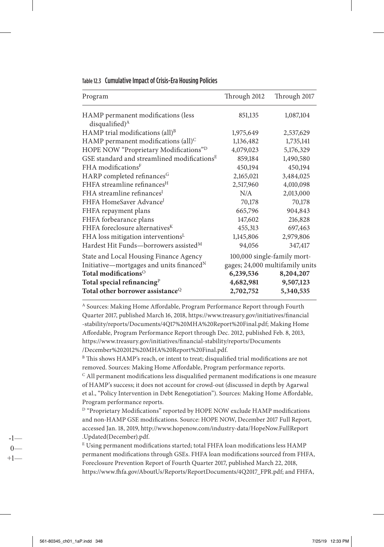| Program                                                                                                                                                                      | Through 2012           | Through 2017                                                                             |
|------------------------------------------------------------------------------------------------------------------------------------------------------------------------------|------------------------|------------------------------------------------------------------------------------------|
| HAMP permanent modifications (less<br>disqualified) <sup>A</sup>                                                                                                             | 851,135                | 1,087,104                                                                                |
| HAMP trial modifications (all) <sup>B</sup>                                                                                                                                  | 1,975,649              | 2,537,629                                                                                |
| HAMP permanent modifications (all) <sup>C</sup>                                                                                                                              | 1,136,482              | 1,735,141                                                                                |
| HOPE NOW "Proprietary Modifications" <sup>D</sup>                                                                                                                            | 4,079,023              | 5,176,329                                                                                |
| GSE standard and streamlined modifications $E$                                                                                                                               | 859,184                | 1,490,580                                                                                |
| FHA modifications <sup>F</sup>                                                                                                                                               | 450,194                | 450,194                                                                                  |
| HARP completed refinances <sup>G</sup>                                                                                                                                       | 2,165,021              | 3,484,025                                                                                |
| FHFA streamline refinances <sup>H</sup>                                                                                                                                      | 2,517,960              | 4,010,098                                                                                |
| FHA streamline refinances <sup>I</sup>                                                                                                                                       | N/A                    | 2,013,000                                                                                |
| FHFA HomeSaver Advance <sup>J</sup>                                                                                                                                          | 70,178                 | 70,178                                                                                   |
| FHFA repayment plans                                                                                                                                                         | 665,796                | 904,843                                                                                  |
| FHFA forbearance plans                                                                                                                                                       | 147,602                | 216,828                                                                                  |
| FHFA foreclosure alternatives <sup>K</sup>                                                                                                                                   | 455,313                | 697,463                                                                                  |
| FHA loss mitigation interventions <sup>L</sup>                                                                                                                               | 1,145,806              | 2,979,806                                                                                |
| Hardest Hit Funds-borrowers assisted <sup>M</sup>                                                                                                                            | 94,056                 | 347,417                                                                                  |
| State and Local Housing Finance Agency<br>Initiative-mortgages and units financed <sup>N</sup><br>Total modifications <sup>O</sup><br>Total special refinancing <sup>P</sup> | 6,239,536<br>4,682,981 | 100,000 single-family mort-<br>gages; 24,000 multifamily units<br>8,204,207<br>9,507,123 |
| Total other borrower assistance <sup>Q</sup>                                                                                                                                 | 2,702,752              | 5,340,535                                                                                |

#### Table 12.3 Cumulative Impact of Crisis-Era Housing Policies

A Sources: Making Home Affordable, Program Performance Report through Fourth Quarter 2017, published March 16, 2018, https://www.treasury.gov/initiatives/financial -stability/reports/Documents/4Q17%20MHA%20Report%20Final.pdf; Making Home Affordable, Program Performance Report through Dec. 2012, published Feb. 8, 2013, https://www.treasury.gov/initiatives/financial-stability/reports/Documents /December%202012%20MHA%20Report%20Final.pdf.

 $B$ <sup>B</sup> This shows HAMP's reach, or intent to treat; disqualified trial modifications are not removed. Sources: Making Home Affordable, Program performance reports.  $\rm ^c$  All permanent modifications less disqualified permanent modifications is one measure

of HAMP's success; it does not account for crowd-out (discussed in depth by Agarwal et al., "Policy Intervention in Debt Renegotiation"). Sources: Making Home Affordable, Program performance reports.

D "Proprietary Modifications" reported by HOPE NOW exclude HAMP modifications and non-HAMP GSE modifications. Source: HOPE NOW, December 2017 Full Report, accessed Jan. 18, 2019, http://www.hopenow.com/industry-data/HopeNow.FullReport .Updated(December).pdf.

E Using permanent modifications started; total FHFA loan modifications less HAMP permanent modifications through GSEs. FHFA loan modifications sourced from FHFA, Foreclosure Prevention Report of Fourth Quarter 2017, published March 22, 2018, https://www.fhfa.gov/AboutUs/Reports/ReportDocuments/4Q2017\_FPR.pdf; and FHFA,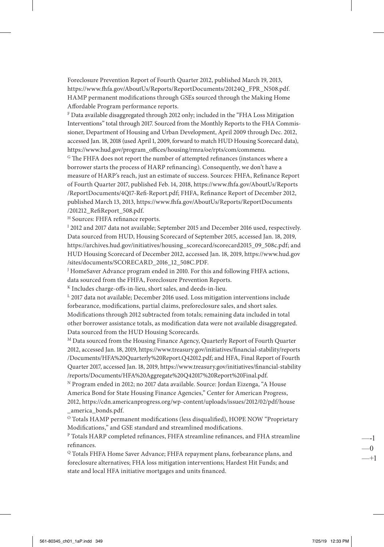Foreclosure Prevention Report of Fourth Quarter 2012, published March 19, 2013, https://www.fhfa.gov/AboutUs/Reports/ReportDocuments/20124Q\_FPR\_N508.pdf. HAMP permanent modifications through GSEs sourced through the Making Home Affordable Program performance reports.

F Data available disaggregated through 2012 only; included in the "FHA Loss Mitigation Interventions" total through 2017. Sourced from the Monthly Reports to the FHA Commissioner, Department of Housing and Urban Development, April 2009 through Dec. 2012, accessed Jan. 18, 2018 (used April 1, 2009, forward to match HUD Housing Scorecard data), https://www.hud.gov/program\_offices/housing/rmra/oe/rpts/com/commenu.

G The FHFA does not report the number of attempted refinances (instances where a borrower starts the process of HARP refinancing). Consequently, we don't have a measure of HARP's reach, just an estimate of success. Sources: FHFA, Refinance Report of Fourth Quarter 2017, published Feb. 14, 2018, https://www.fhfa.gov/AboutUs/Reports /ReportDocuments/4Q17-Refi-Report.pdf; FHFA, Refinance Report of December 2012, published March 13, 2013, https://www.fhfa.gov/AboutUs/Reports/ReportDocuments /201212\_RefiReport\_508.pdf.

H Sources: FHFA refinance reports.

<sup>I</sup> 2012 and 2017 data not available; September 2015 and December 2016 used, respectively. Data sourced from HUD, Housing Scorecard of September 2015, accessed Jan. 18, 2019, https://archives.hud.gov/initiatives/housing\_scorecard/scorecard2015\_09\_508c.pdf; and HUD Housing Scorecard of December 2012, accessed Jan. 18, 2019, https://www.hud.gov /sites/documents/SCORECARD\_2016\_12\_508C.PDF.

J HomeSaver Advance program ended in 2010. For this and following FHFA actions, data sourced from the FHFA, Foreclosure Prevention Reports.

 $<sup>K</sup>$  Includes charge-offs-in-lieu, short sales, and deeds-in-lieu.</sup>

 $L$  2017 data not available; December 2016 used. Loss mitigation interventions include forbearance, modifications, partial claims, preforeclosure sales, and short sales. Modifications through 2012 subtracted from totals; remaining data included in total other borrower assistance totals, as modification data were not available disaggregated. Data sourced from the HUD Housing Scorecards.

<sup>M</sup> Data sourced from the Housing Finance Agency, Quarterly Report of Fourth Quarter 2012, accessed Jan. 18, 2019, https://www.treasury.gov/initiatives/financial-stability/reports /Documents/HFA%20Quarterly%20Report.Q42012.pdf; and HFA, Final Report of Fourth Quarter 2017, accessed Jan. 18, 2019, https://www.treasury.gov/initiatives/financial-stability /reports/Documents/HFA%20Aggregate%20Q42017%20Report%20Final.pdf.

N Program ended in 2012; no 2017 data available. Source: Jordan Eizenga, "A House America Bond for State Housing Finance Agencies," Center for American Progress, 2012, https://cdn.americanprogress.org/wp-content/uploads/issues/2012/02/pdf/house \_america\_bonds.pdf.

O Totals HAMP permanent modifications (less disqualified), HOPE NOW "Proprietary Modifications," and GSE standard and streamlined modifications.

P Totals HARP completed refinances, FHFA streamline refinances, and FHA streamline refinances.

Q Totals FHFA Home Saver Advance; FHFA repayment plans, forbearance plans, and foreclosure alternatives; FHA loss mitigation interventions; Hardest Hit Funds; and state and local HFA initiative mortgages and units financed.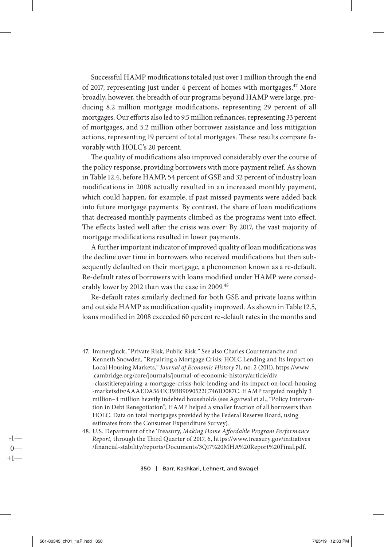Successful HAMP modifications totaled just over 1 million through the end of 2017, representing just under 4 percent of homes with mortgages.47 More broadly, however, the breadth of our programs beyond HAMP were large, producing 8.2 million mortgage modifications, representing 29 percent of all mortgages. Our efforts also led to 9.5 million refinances, representing 33 percent of mortgages, and 5.2 million other borrower assistance and loss mitigation actions, representing 19 percent of total mortgages. These results compare favorably with HOLC's 20 percent.

The quality of modifications also improved considerably over the course of the policy response, providing borrowers with more payment relief. As shown in Table 12.4, before HAMP, 54 percent of GSE and 32 percent of industry loan modifications in 2008 actually resulted in an increased monthly payment, which could happen, for example, if past missed payments were added back into future mortgage payments. By contrast, the share of loan modifications that decreased monthly payments climbed as the programs went into effect. The effects lasted well after the crisis was over: By 2017, the vast majority of mortgage modifications resulted in lower payments.

A further important indicator of improved quality of loan modifications was the decline over time in borrowers who received modifications but then subsequently defaulted on their mortgage, a phenomenon known as a re-default. Re-default rates of borrowers with loans modified under HAMP were considerably lower by 2012 than was the case in 2009.<sup>48</sup>

Re-default rates similarly declined for both GSE and private loans within and outside HAMP as modification quality improved. As shown in Table 12.5, loans modified in 2008 exceeded 60 percent re-default rates in the months and

- 47. Immergluck, "Private Risk, Public Risk." See also Charles Courtemanche and Kenneth Snowden, "Repairing a Mortgage Crisis: HOLC Lending and Its Impact on Local Housing Markets," *Journal of Economic History* 71, no. 2 (2011), https://www .cambridge.org/core/journals/journal-of-economic-history/article/div -classtitlerepairing-a-mortgage-crisis-holc-lending-and-its-impact-on-local-housing -marketsdiv/AAAEDA3641C19BB9090522C7461D087C. HAMP targeted roughly 3 million–4 million heavily indebted households (see Agarwal et al., "Policy Intervention in Debt Renegotiation"; HAMP helped a smaller fraction of all borrowers than HOLC. Data on total mortgages provided by the Federal Reserve Board, using estimates from the Consumer Expenditure Survey).
- 48. U.S. Department of the Treasury, *Making Home Affordable Program Performance Report,* through the Third Quarter of 2017, 6, https://www.treasury.gov/initiatives /financial-stability/reports/Documents/3Q17%20MHA%20Report%20Final.pdf.

350 | Barr, Kashkari, Lehnert, and Swagel

-1—  $0$ —  $+1-$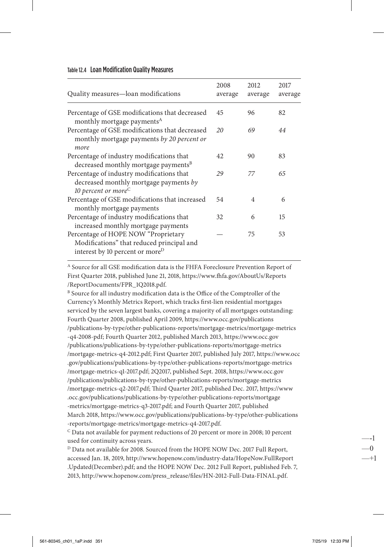| Quality measures-loan modifications                                                                                             | 2008<br>average | 2012<br>average | 2017<br>average |
|---------------------------------------------------------------------------------------------------------------------------------|-----------------|-----------------|-----------------|
| Percentage of GSE modifications that decreased<br>monthly mortgage payments <sup>A</sup>                                        | 45              | 96              | 82              |
| Percentage of GSE modifications that decreased<br>monthly mortgage payments by 20 percent or<br>more                            | 20              | 69              | 44              |
| Percentage of industry modifications that<br>decreased monthly mortgage payments <sup>B</sup>                                   | 42              | 90              | 83              |
| Percentage of industry modifications that<br>decreased monthly mortgage payments by<br>10 percent or more <sup>C</sup>          | 29              | 77              | 65              |
| Percentage of GSE modifications that increased<br>monthly mortgage payments                                                     | 54              | $\overline{4}$  | 6               |
| Percentage of industry modifications that<br>increased monthly mortgage payments                                                | 32              | 6               | 15              |
| Percentage of HOPE NOW "Proprietary<br>Modifications" that reduced principal and<br>interest by 10 percent or more <sup>D</sup> |                 | 75              | 53              |

#### Table 12.4 Loan Modification Quality Measures

A Source for all GSE modification data is the FHFA Foreclosure Prevention Report of First Quarter 2018, published June 21, 2018, https://www.fhfa.gov/AboutUs/Reports /ReportDocuments/FPR\_1Q2018.pdf.

B Source for all industry modification data is the Office of the Comptroller of the Currency's Monthly Metrics Report, which tracks first-lien residential mortgages serviced by the seven largest banks, covering a majority of all mortgages outstanding: Fourth Quarter 2008, published April 2009, https://www.occ.gov/publications /publications-by-type/other-publications-reports/mortgage-metrics/mortgage-metrics -q4-2008-pdf; Fourth Quarter 2012, published March 2013, https://www.occ.gov /publications/publications-by-type/other-publications-reports/mortgage-metrics /mortgage-metrics-q4-2012.pdf; First Quarter 2017, published July 2017, https://www.occ .gov/publications/publications-by-type/other-publications-reports/mortgage-metrics /mortgage-metrics-q1-2017.pdf; 2Q2017, published Sept. 2018, https://www.occ.gov /publications/publications-by-type/other-publications-reports/mortgage-metrics /mortgage-metrics-q2-2017.pdf; Third Quarter 2017, published Dec. 2017, https://www .occ.gov/publications/publications-by-type/other-publications-reports/mortgage -metrics/mortgage-metrics-q3-2017.pdf; and Fourth Quarter 2017, published March 2018, https://www.occ.gov/publications/publications-by-type/other-publications -reports/mortgage-metrics/mortgage-metrics-q4-2017.pdf.

C Data not available for payment reductions of 20 percent or more in 2008; 10 percent used for continuity across years.

<sup>D</sup> Data not available for 2008. Sourced from the HOPE NOW Dec. 2017 Full Report, accessed Jan. 18, 2019, http://www.hopenow.com/industry-data/HopeNow.FullReport .Updated(December).pdf; and the HOPE NOW Dec. 2012 Full Report, published Feb. 7, 2013, http://www.hopenow.com/press\_release/files/HN-2012-Full-Data-FINAL.pdf.

—-1 —0 —+1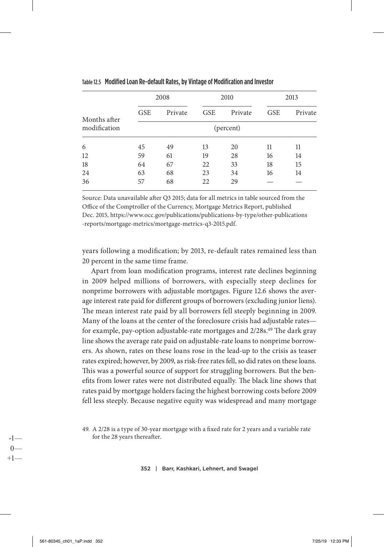|              | 2008       |         | 2010       |         | 2013       |         |  |
|--------------|------------|---------|------------|---------|------------|---------|--|
| Months after | <b>GSE</b> | Private | <b>GSE</b> | Private | <b>GSE</b> | Private |  |
| modification | (percent)  |         |            |         |            |         |  |
| 6            | 45         | 49      | 13         | 20      | 11         | 11      |  |
| 12           | 59         | 61      | 19         | 28      | 16         | 14      |  |
| 18           | 64         | 67      | 22         | 33      | 18         | 15      |  |
| 24           | 63         | 68      | 23         | 34      | 16         | 14      |  |
| 36           | 57         | 68      | 22         | 29      |            |         |  |

Table 12.5 Modified Loan Re-default Rates, by Vintage of Modification and Investor

Source: Data unavailable after Q3 2015; data for all metrics in table sourced from the Office of the Comptroller of the Currency, Mortgage Metrics Report, published Dec. 2015, https://www.occ.gov/publications/publications-by-type/other-publications -reports/mortgage-metrics/mortgage-metrics-q3-2015.pdf.

years following a modification; by 2013, re-default rates remained less than 20 percent in the same time frame.

Apart from loan modification programs, interest rate declines beginning in 2009 helped millions of borrowers, with especially steep declines for nonprime borrowers with adjustable mortgages. Figure 12.6 shows the average interest rate paid for different groups of borrowers (excluding junior liens). The mean interest rate paid by all borrowers fell steeply beginning in 2009. Many of the loans at the center of the foreclosure crisis had adjustable rates for example, pay-option adjustable-rate mortgages and 2/28s.<sup>49</sup> The dark gray line shows the average rate paid on adjustable-rate loans to nonprime borrowers. As shown, rates on these loans rose in the lead-up to the crisis as teaser rates expired; however, by 2009, as risk-free rates fell, so did rates on these loans. This was a powerful source of support for struggling borrowers. But the benefits from lower rates were not distributed equally. The black line shows that rates paid by mortgage holders facing the highest borrowing costs before 2009 fell less steeply. Because negative equity was widespread and many mortgage

49. A 2/28 is a type of 30-year mortgage with a fixed rate for 2 years and a variable rate for the 28 years thereafter.

352 | Barr, Kashkari, Lehnert, and Swagel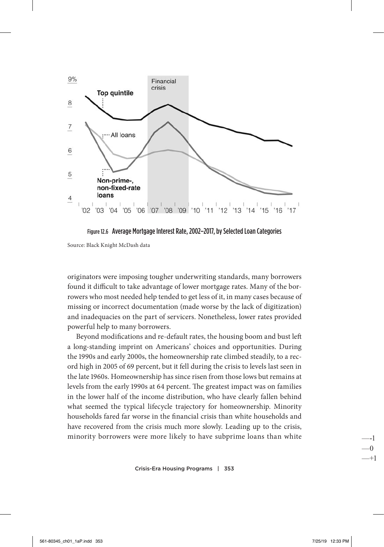

Figure 12.6 Average Mortgage Interest Rate, 2002–2017, by Selected Loan Categories

Source: Black Knight McDash data

originators were imposing tougher underwriting standards, many borrowers found it difficult to take advantage of lower mortgage rates. Many of the borrowers who most needed help tended to get less of it, in many cases because of missing or incorrect documentation (made worse by the lack of digitization) and inadequacies on the part of servicers. Nonetheless, lower rates provided powerful help to many borrowers.

Beyond modifications and re-default rates, the housing boom and bust left a long-standing imprint on Americans' choices and opportunities. During the 1990s and early 2000s, the homeownership rate climbed steadily, to a record high in 2005 of 69 percent, but it fell during the crisis to levels last seen in the late 1960s. Homeownership has since risen from those lows but remains at levels from the early 1990s at 64 percent. The greatest impact was on families in the lower half of the income distribution, who have clearly fallen behind what seemed the typical lifecycle trajectory for homeownership. Minority households fared far worse in the financial crisis than white households and have recovered from the crisis much more slowly. Leading up to the crisis, minority borrowers were more likely to have subprime loans than white

Crisis-Era Housing Programs | 353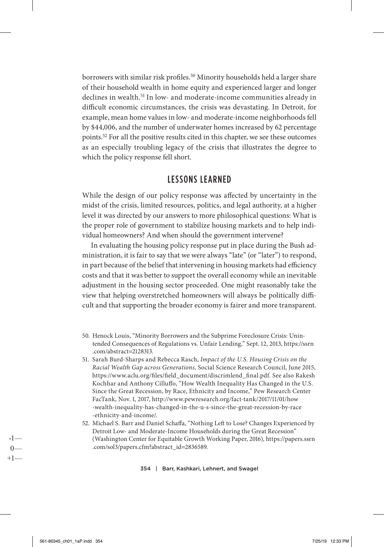borrowers with similar risk profiles.<sup>50</sup> Minority households held a larger share of their household wealth in home equity and experienced larger and longer declines in wealth.<sup>51</sup> In low- and moderate-income communities already in difficult economic circumstances, the crisis was devastating. In Detroit, for example, mean home values in low- and moderate-income neighborhoods fell by \$44,006, and the number of underwater homes increased by 62 percentage points.52 For all the positive results cited in this chapter, we see these outcomes as an especially troubling legacy of the crisis that illustrates the degree to which the policy response fell short.

### LESSONS LEARNED

While the design of our policy response was affected by uncertainty in the midst of the crisis, limited resources, politics, and legal authority, at a higher level it was directed by our answers to more philosophical questions: What is the proper role of government to stabilize housing markets and to help individual homeowners? And when should the government intervene?

In evaluating the housing policy response put in place during the Bush administration, it is fair to say that we were always "late" (or "later") to respond, in part because of the belief that intervening in housing markets had efficiency costs and that it was better to support the overall economy while an inevitable adjustment in the housing sector proceeded. One might reasonably take the view that helping overstretched homeowners will always be politically difficult and that supporting the broader economy is fairer and more transparent.

- 50. Henock Louis, "Minority Borrowers and the Subprime Foreclosure Crisis: Unintended Consequences of Regulations vs. Unfair Lending," Sept. 12, 2013, https://ssrn .com/abstract=2128313.
- 51. Sarah Burd-Sharps and Rebecca Rasch, *Impact of the U.S. Housing Crisis on the Racial Wealth Gap across Generations,* Social Science Research Council, June 2015, https://www.aclu.org/files/field\_document/discrimlend\_final.pdf. See also Rakesh Kochhar and Anthony Cilluffo, "How Wealth Inequality Has Changed in the U.S. Since the Great Recession, by Race, Ethnicity and Income," Pew Research Center FacTank, Nov. 1, 2017, http://www.pewresearch.org/fact-tank/2017/11/01/how -wealth-inequality-has-changed-in-the-u-s-since-the-great-recession-by-race -ethnicity-and-income/.
- 52. Michael S. Barr and Daniel Schaffa, "Nothing Left to Lose? Changes Experienced by Detroit Low- and Moderate-Income Households during the Great Recession" (Washington Center for Equitable Growth Working Paper, 2016), https://papers.ssrn .com/sol3/papers.cfm?abstract\_id=2836589.

#### 354 | Barr, Kashkari, Lehnert, and Swagel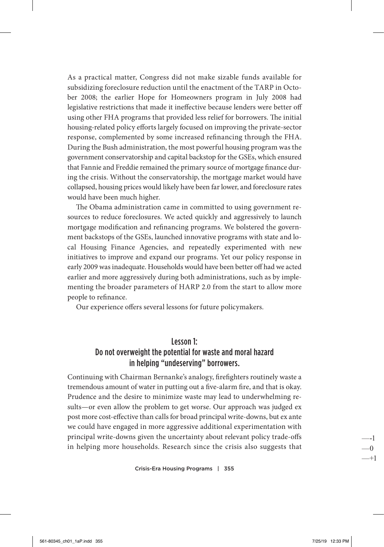As a practical matter, Congress did not make sizable funds available for subsidizing foreclosure reduction until the enactment of the TARP in October 2008; the earlier Hope for Homeowners program in July 2008 had legislative restrictions that made it ineffective because lenders were better off using other FHA programs that provided less relief for borrowers. The initial housing-related policy efforts largely focused on improving the private-sector response, complemented by some increased refinancing through the FHA. During the Bush administration, the most powerful housing program was the government conservatorship and capital backstop for the GSEs, which ensured that Fannie and Freddie remained the primary source of mortgage finance during the crisis. Without the conservatorship, the mortgage market would have collapsed, housing prices would likely have been far lower, and foreclosure rates would have been much higher.

The Obama administration came in committed to using government resources to reduce foreclosures. We acted quickly and aggressively to launch mortgage modification and refinancing programs. We bolstered the government backstops of the GSEs, launched innovative programs with state and local Housing Finance Agencies, and repeatedly experimented with new initiatives to improve and expand our programs. Yet our policy response in early 2009 was inadequate. Households would have been better off had we acted earlier and more aggressively during both administrations, such as by implementing the broader parameters of HARP 2.0 from the start to allow more people to refinance.

Our experience offers several lessons for future policymakers.

# Lesson 1: Do not overweight the potential for waste and moral hazard in helping "undeserving" borrowers.

Continuing with Chairman Bernanke's analogy, firefighters routinely waste a tremendous amount of water in putting out a five-alarm fire, and that is okay. Prudence and the desire to minimize waste may lead to underwhelming results—or even allow the problem to get worse. Our approach was judged ex post more cost-effective than calls for broad principal write-downs, but ex ante we could have engaged in more aggressive additional experimentation with principal write-downs given the uncertainty about relevant policy trade-offs in helping more households. Research since the crisis also suggests that

Crisis-Era Housing Programs | 355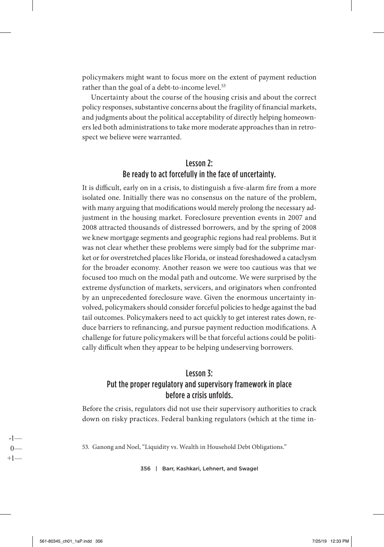policymakers might want to focus more on the extent of payment reduction rather than the goal of a debt-to-income level.<sup>53</sup>

Uncertainty about the course of the housing crisis and about the correct policy responses, substantive concerns about the fragility of financial markets, and judgments about the political acceptability of directly helping homeowners led both administrations to take more moderate approaches than in retrospect we believe were warranted.

# Lesson 2: Be ready to act forcefully in the face of uncertainty.

It is difficult, early on in a crisis, to distinguish a five-alarm fire from a more isolated one. Initially there was no consensus on the nature of the problem, with many arguing that modifications would merely prolong the necessary adjustment in the housing market. Foreclosure prevention events in 2007 and 2008 attracted thousands of distressed borrowers, and by the spring of 2008 we knew mortgage segments and geographic regions had real problems. But it was not clear whether these problems were simply bad for the subprime market or for overstretched places like Florida, or instead foreshadowed a cataclysm for the broader economy. Another reason we were too cautious was that we focused too much on the modal path and outcome. We were surprised by the extreme dysfunction of markets, servicers, and originators when confronted by an unprecedented foreclosure wave. Given the enormous uncertainty involved, policymakers should consider forceful policies to hedge against the bad tail outcomes. Policymakers need to act quickly to get interest rates down, reduce barriers to refinancing, and pursue payment reduction modifications. A challenge for future policymakers will be that forceful actions could be politically difficult when they appear to be helping undeserving borrowers.

# Lesson 3: Put the proper regulatory and supervisory framework in place before a crisis unfolds.

Before the crisis, regulators did not use their supervisory authorities to crack down on risky practices. Federal banking regulators (which at the time in-

53. Ganong and Noel, "Liquidity vs. Wealth in Household Debt Obligations."

356 | Barr, Kashkari, Lehnert, and Swagel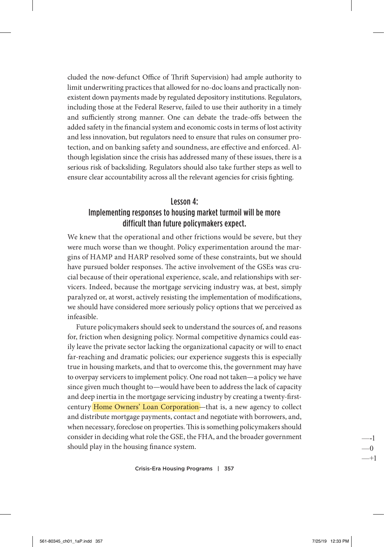cluded the now-defunct Office of Thrift Supervision) had ample authority to limit underwriting practices that allowed for no-doc loans and practically nonexistent down payments made by regulated depository institutions. Regulators, including those at the Federal Reserve, failed to use their authority in a timely and sufficiently strong manner. One can debate the trade-offs between the added safety in the financial system and economic costs in terms of lost activity and less innovation, but regulators need to ensure that rules on consumer protection, and on banking safety and soundness, are effective and enforced. Although legislation since the crisis has addressed many of these issues, there is a serious risk of backsliding. Regulators should also take further steps as well to ensure clear accountability across all the relevant agencies for crisis fighting.

#### Lesson 4:

## Implementing responses to housing market turmoil will be more difficult than future policymakers expect.

We knew that the operational and other frictions would be severe, but they were much worse than we thought. Policy experimentation around the margins of HAMP and HARP resolved some of these constraints, but we should have pursued bolder responses. The active involvement of the GSEs was crucial because of their operational experience, scale, and relationships with servicers. Indeed, because the mortgage servicing industry was, at best, simply paralyzed or, at worst, actively resisting the implementation of modifications, we should have considered more seriously policy options that we perceived as infeasible.

Future policymakers should seek to understand the sources of, and reasons for, friction when designing policy. Normal competitive dynamics could easily leave the private sector lacking the organizational capacity or will to enact far-reaching and dramatic policies; our experience suggests this is especially true in housing markets, and that to overcome this, the government may have to overpay servicers to implement policy. One road not taken—a policy we have since given much thought to—would have been to address the lack of capacity and deep inertia in the mortgage servicing industry by creating a twenty-firstcentury Home Owners' Loan Corporation—that is, a new agency to collect and distribute mortgage payments, contact and negotiate with borrowers, and, when necessary, foreclose on properties. This is something policymakers should consider in deciding what role the GSE, the FHA, and the broader government should play in the housing finance system.

Crisis-Era Housing Programs | 357